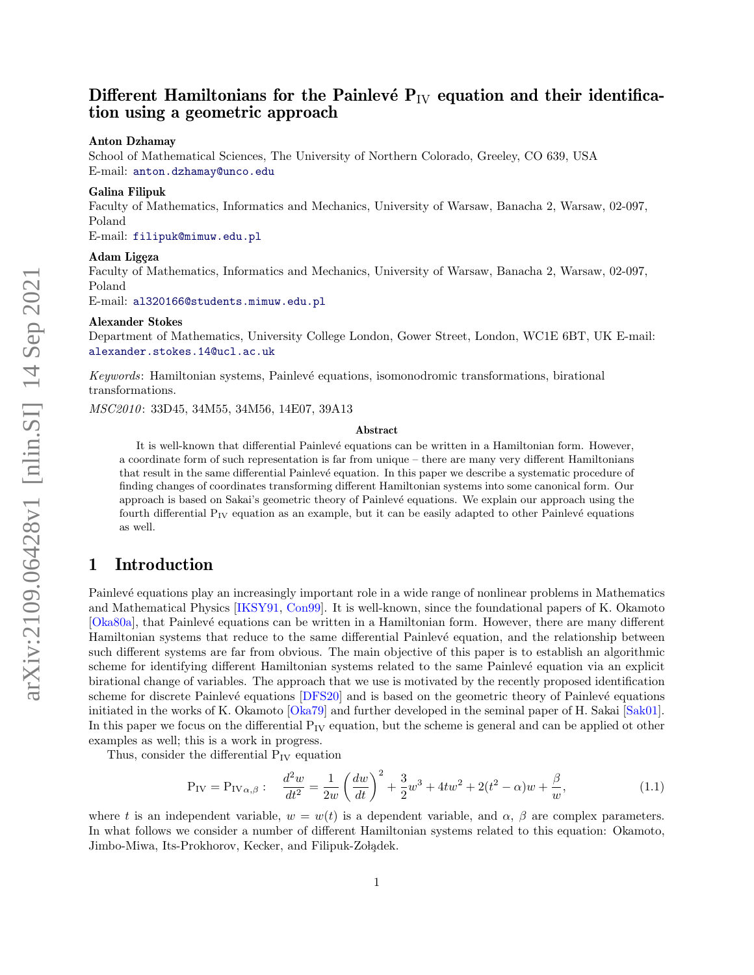# Different Hamiltonians for the Painlevé  $P_{IV}$  equation and their identification using a geometric approach

#### Anton Dzhamay

School of Mathematical Sciences, The University of Northern Colorado, Greeley, CO 639, USA E-mail: [anton.dzhamay@unco.edu](mailto:anton.dzhamay@unco.edu)

#### Galina Filipuk

Faculty of Mathematics, Informatics and Mechanics, University of Warsaw, Banacha 2, Warsaw, 02-097, Poland

E-mail: [filipuk@mimuw.edu.pl](mailto:filipuk@mimuw.edu.pl)

#### Adam Ligeza

Faculty of Mathematics, Informatics and Mechanics, University of Warsaw, Banacha 2, Warsaw, 02-097, Poland

E-mail: [al320166@students.mimuw.edu.pl](mailto:al320166@students.mimuw.edu.pl)

#### Alexander Stokes

Department of Mathematics, University College London, Gower Street, London, WC1E 6BT, UK E-mail: [alexander.stokes.14@ucl.ac.uk](mailto:alexander.stokes.14@ucl.ac.uk)

Keywords: Hamiltonian systems, Painlevé equations, isomonodromic transformations, birational transformations.

MSC2010: 33D45, 34M55, 34M56, 14E07, 39A13

#### Abstract

It is well-known that differential Painlevé equations can be written in a Hamiltonian form. However, a coordinate form of such representation is far from unique – there are many very different Hamiltonians that result in the same differential Painlevé equation. In this paper we describe a systematic procedure of finding changes of coordinates transforming different Hamiltonian systems into some canonical form. Our approach is based on Sakai's geometric theory of Painlevé equations. We explain our approach using the fourth differential  $P_{IV}$  equation as an example, but it can be easily adapted to other Painlevé equations as well.

## 1 Introduction

Painlevé equations play an increasingly important role in a wide range of nonlinear problems in Mathematics and Mathematical Physics [\[IKSY91,](#page-24-0) [Con99\]](#page-24-1). It is well-known, since the foundational papers of K. Okamoto [\[Oka80a\]](#page-25-0), that Painlevé equations can be written in a Hamiltonian form. However, there are many different Hamiltonian systems that reduce to the same differential Painlevé equation, and the relationship between such different systems are far from obvious. The main objective of this paper is to establish an algorithmic scheme for identifying different Hamiltonian systems related to the same Painlevé equation via an explicit birational change of variables. The approach that we use is motivated by the recently proposed identification scheme for discrete Painlevé equations [\[DFS20\]](#page-24-2) and is based on the geometric theory of Painlevé equations initiated in the works of K. Okamoto [\[Oka79\]](#page-25-1) and further developed in the seminal paper of H. Sakai [\[Sak01\]](#page-25-2). In this paper we focus on the differential  $P_{IV}$  equation, but the scheme is general and can be applied ot other examples as well; this is a work in progress.

Thus, consider the differential  $P_{IV}$  equation

<span id="page-0-0"></span>
$$
P_{IV} = P_{IV\alpha,\beta} : \quad \frac{d^2w}{dt^2} = \frac{1}{2w} \left(\frac{dw}{dt}\right)^2 + \frac{3}{2}w^3 + 4tw^2 + 2(t^2 - \alpha)w + \frac{\beta}{w},\tag{1.1}
$$

where t is an independent variable,  $w = w(t)$  is a dependent variable, and  $\alpha$ ,  $\beta$  are complex parameters. In what follows we consider a number of different Hamiltonian systems related to this equation: Okamoto, Jimbo-Miwa, Its-Prokhorov, Kecker, and Filipuk-Zołądek.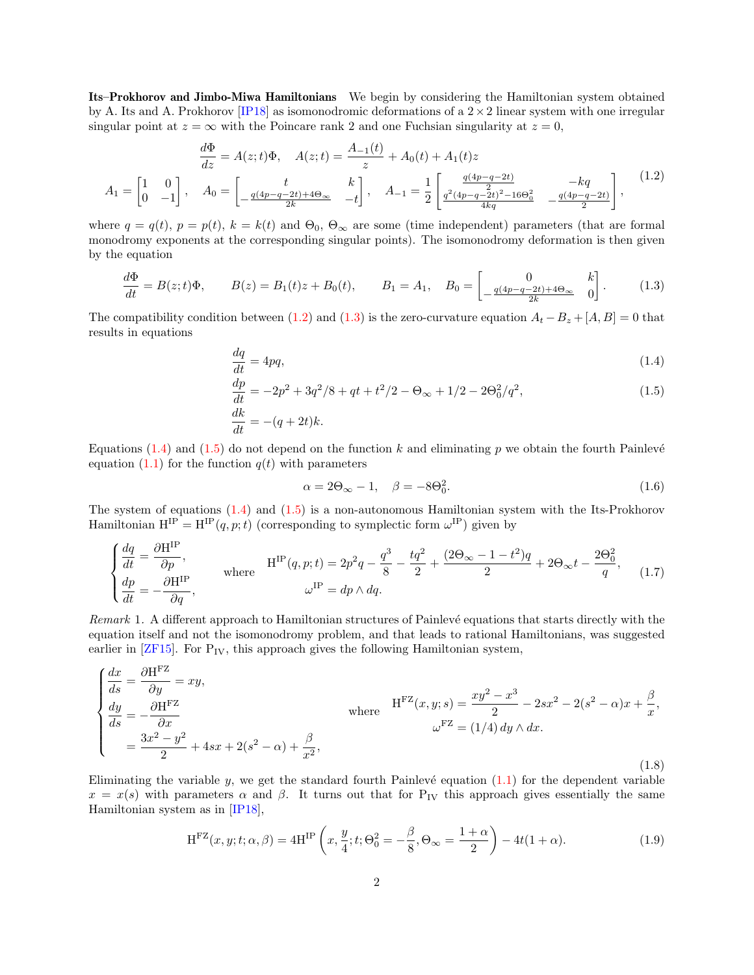Its–Prokhorov and Jimbo-Miwa Hamiltonians We begin by considering the Hamiltonian system obtained by A. Its and A. Prokhorov [\[IP18\]](#page-24-3) as isomonodromic deformations of a  $2 \times 2$  linear system with one irregular singular point at  $z = \infty$  with the Poincare rank 2 and one Fuchsian singularity at  $z = 0$ ,

<span id="page-1-0"></span>
$$
\frac{d\Phi}{dz} = A(z; t)\Phi, \quad A(z; t) = \frac{A_{-1}(t)}{z} + A_0(t) + A_1(t)z
$$
\n
$$
A_1 = \begin{bmatrix} 1 & 0 \\ 0 & -1 \end{bmatrix}, \quad A_0 = \begin{bmatrix} t & k \\ -\frac{q(4p-q-2t)+4\Theta_{\infty}}{2k} & -t \end{bmatrix}, \quad A_{-1} = \frac{1}{2} \begin{bmatrix} \frac{q(4p-q-2t)}{2} & -kq & -kq \\ \frac{q^2(4p-q-2t)^2 - 16\Theta_0^2}{4kq} & -\frac{q(4p-q-2t)}{2} \end{bmatrix},
$$
\n(1.2)

where  $q = q(t)$ ,  $p = p(t)$ ,  $k = k(t)$  and  $\Theta_0$ ,  $\Theta_{\infty}$  are some (time independent) parameters (that are formal monodromy exponents at the corresponding singular points). The isomonodromy deformation is then given by the equation

<span id="page-1-1"></span>
$$
\frac{d\Phi}{dt} = B(z;t)\Phi, \qquad B(z) = B_1(t)z + B_0(t), \qquad B_1 = A_1, \quad B_0 = \begin{bmatrix} 0 & k \\ -\frac{q(4p-q-2t)+4\Theta_{\infty}}{2k} & 0 \end{bmatrix}.
$$
 (1.3)

The compatibility condition between [\(1.2\)](#page-1-0) and [\(1.3\)](#page-1-1) is the zero-curvature equation  $A_t - B_z + [A, B] = 0$  that results in equations

$$
\frac{dq}{dt} = 4pq,\tag{1.4}
$$

$$
\frac{dp}{dt} = -2p^2 + 3q^2/8 + qt + t^2/2 - \Theta_{\infty} + 1/2 - 2\Theta_0^2/q^2,\tag{1.5}
$$

$$
\frac{dk}{dt} = -(q+2t)k.
$$

Equations [\(1.4\)](#page-1-2) and [\(1.5\)](#page-1-3) do not depend on the function k and eliminating p we obtain the fourth Painlevé equation  $(1.1)$  for the function  $q(t)$  with parameters

<span id="page-1-4"></span><span id="page-1-3"></span><span id="page-1-2"></span>
$$
\alpha = 2\Theta_{\infty} - 1, \quad \beta = -8\Theta_0^2. \tag{1.6}
$$

The system of equations [\(1.4\)](#page-1-2) and [\(1.5\)](#page-1-3) is a non-autonomous Hamiltonian system with the Its-Prokhorov Hamiltonian  $H^{IP} = H^{IP}(q, p; t)$  (corresponding to symplectic form  $\omega^{IP}$ ) given by

<span id="page-1-5"></span>
$$
\begin{cases}\n\frac{dq}{dt} = \frac{\partial \mathbf{H}^{\text{IP}}}{\partial p}, & \text{where} \quad \mathbf{H}^{\text{IP}}(q, p; t) = 2p^2 q - \frac{q^3}{8} - \frac{t q^2}{2} + \frac{(2\Theta_{\infty} - 1 - t^2)q}{2} + 2\Theta_{\infty} t - \frac{2\Theta_0^2}{q}, \\
\frac{dp}{dt} = -\frac{\partial \mathbf{H}^{\text{IP}}}{\partial q}, & \omega^{\text{IP}} = dp \wedge dq.\n\end{cases}
$$
\n(1.7)

Remark 1. A different approach to Hamiltonian structures of Painlevé equations that starts directly with the equation itself and not the isomonodromy problem, and that leads to rational Hamiltonians, was suggested earlier in  $[ZF15]$ . For  $P_{IV}$ , this approach gives the following Hamiltonian system,

$$
\begin{cases}\n\frac{dx}{ds} = \frac{\partial \mathbf{H}^{\text{FZ}}}{\partial y} = xy, \\
\frac{dy}{ds} = -\frac{\partial \mathbf{H}^{\text{FZ}}}{\partial x} \\
= \frac{3x^2 - y^2}{2} + 4sx + 2(s^2 - \alpha) + \frac{\beta}{x^2},\n\end{cases}
$$
\nwhere\n
$$
\mathbf{H}^{\text{FZ}}(x, y; s) = \frac{xy^2 - x^3}{2} - 2sx^2 - 2(s^2 - \alpha)x + \frac{\beta}{x},
$$
\n
$$
\omega^{\text{FZ}} = (1/4) dy \wedge dx.
$$
\n(1.8)

Eliminating the variable  $y$ , we get the standard fourth Painlevé equation  $(1.1)$  for the dependent variable  $x = x(s)$  with parameters  $\alpha$  and  $\beta$ . It turns out that for P<sub>IV</sub> this approach gives essentially the same Hamiltonian system as in [\[IP18\]](#page-24-3),

<span id="page-1-6"></span>
$$
H^{FZ}(x, y; t; \alpha, \beta) = 4H^{IP}\left(x, \frac{y}{4}; t; \Theta_0^2 = -\frac{\beta}{8}, \Theta_\infty = \frac{1+\alpha}{2}\right) - 4t(1+\alpha).
$$
 (1.9)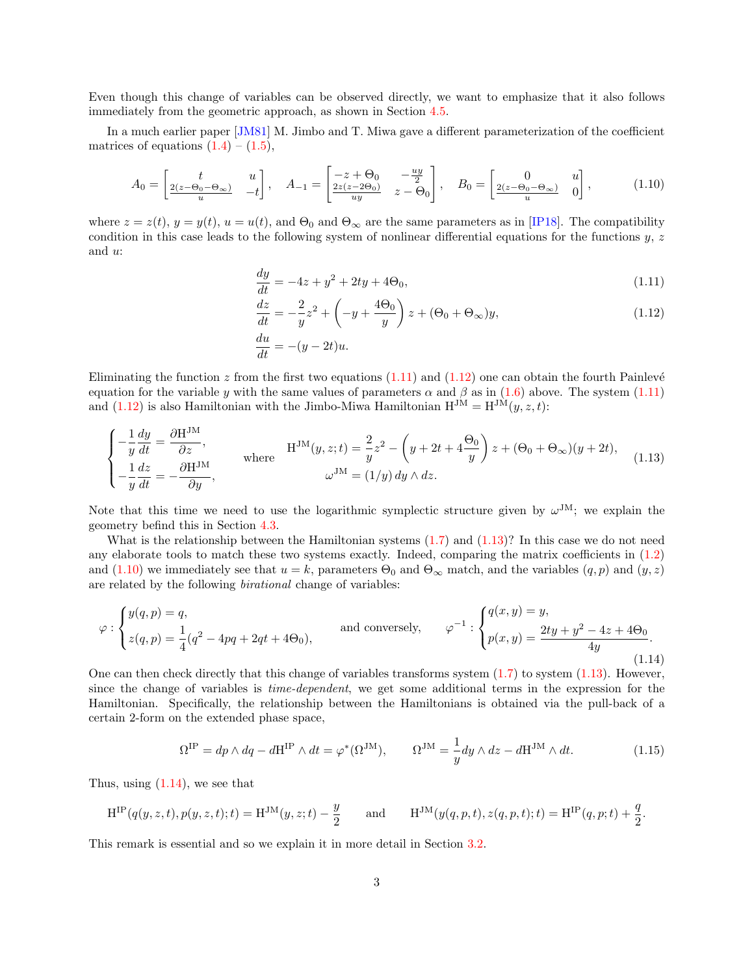Even though this change of variables can be observed directly, we want to emphasize that it also follows immediately from the geometric approach, as shown in Section [4.5.](#page-20-0)

In a much earlier paper [\[JM81\]](#page-24-4) M. Jimbo and T. Miwa gave a different parameterization of the coefficient matrices of equations  $(1.4) - (1.5)$  $(1.4) - (1.5)$  $(1.4) - (1.5)$ ,

<span id="page-2-3"></span>
$$
A_0 = \begin{bmatrix} t & u \\ \frac{2(z - \Theta_0 - \Theta_\infty)}{u} & -t \end{bmatrix}, \quad A_{-1} = \begin{bmatrix} -z + \Theta_0 & -\frac{uy}{2} \\ \frac{2z(z - 2\Theta_0)}{uy} & z - \Theta_0 \end{bmatrix}, \quad B_0 = \begin{bmatrix} 0 & u \\ \frac{2(z - \Theta_0 - \Theta_\infty)}{u} & 0 \end{bmatrix}, \tag{1.10}
$$

where  $z = z(t)$ ,  $y = y(t)$ ,  $u = u(t)$ , and  $\Theta_0$  and  $\Theta_\infty$  are the same parameters as in [\[IP18\]](#page-24-3). The compatibility condition in this case leads to the following system of nonlinear differential equations for the functions y, z and u:

<span id="page-2-0"></span>
$$
\frac{dy}{dt} = -4z + y^2 + 2ty + 4\Theta_0,\tag{1.11}
$$

<span id="page-2-1"></span>
$$
\frac{dz}{dt} = -\frac{2}{y}z^2 + \left(-y + \frac{4\Theta_0}{y}\right)z + (\Theta_0 + \Theta_\infty)y,\tag{1.12}
$$

$$
\frac{du}{dt} = -(y - 2t)u.
$$

Eliminating the function  $z$  from the first two equations  $(1.11)$  and  $(1.12)$  one can obtain the fourth Painlevé equation for the variable y with the same values of parameters  $\alpha$  and  $\beta$  as in [\(1.6\)](#page-1-4) above. The system [\(1.11\)](#page-2-0) and [\(1.12\)](#page-2-1) is also Hamiltonian with the Jimbo-Miwa Hamiltonian  $H^{JM} = H^{JM}(y, z, t)$ :

<span id="page-2-2"></span>
$$
\begin{cases}\n-\frac{1}{y}\frac{dy}{dt} = \frac{\partial \mathcal{H}^{\text{JM}}}{\partial z}, & \text{where} \\
-\frac{1}{y}\frac{dz}{dt} = -\frac{\partial \mathcal{H}^{\text{JM}}}{\partial y}, & \text{where} \\
\end{cases} \quad \text{H}^{\text{JM}}(y, z; t) = \frac{2}{y}z^2 - \left(y + 2t + 4\frac{\Theta_0}{y}\right)z + (\Theta_0 + \Theta_\infty)(y + 2t),\n\tag{1.13}
$$

Note that this time we need to use the logarithmic symplectic structure given by  $\omega^{JM}$ ; we explain the geometry befind this in Section [4.3.](#page-15-0)

What is the relationship between the Hamiltonian systems [\(1.7\)](#page-1-5) and [\(1.13\)](#page-2-2)? In this case we do not need any elaborate tools to match these two systems exactly. Indeed, comparing the matrix coefficients in [\(1.2\)](#page-1-0) and [\(1.10\)](#page-2-3) we immediately see that  $u = k$ , parameters  $\Theta_0$  and  $\Theta_\infty$  match, and the variables  $(q, p)$  and  $(y, z)$ are related by the following birational change of variables:

<span id="page-2-4"></span>
$$
\varphi : \begin{cases} y(q,p) = q, \\ z(q,p) = \frac{1}{4}(q^2 - 4pq + 2qt + 4\Theta_0), \end{cases} \text{ and conversely, } \varphi^{-1} : \begin{cases} q(x,y) = y, \\ p(x,y) = \frac{2ty + y^2 - 4z + 4\Theta_0}{4y}. \end{cases}
$$
(1.14)

One can then check directly that this change of variables transforms system  $(1.7)$  to system  $(1.13)$ . However, since the change of variables is time-dependent, we get some additional terms in the expression for the Hamiltonian. Specifically, the relationship between the Hamiltonians is obtained via the pull-back of a certain 2-form on the extended phase space,

$$
\Omega^{\text{IP}} = dp \wedge dq - d\mathbf{H}^{\text{IP}} \wedge dt = \varphi^*(\Omega^{\text{JM}}), \qquad \Omega^{\text{JM}} = \frac{1}{y} dy \wedge dz - d\mathbf{H}^{\text{JM}} \wedge dt. \tag{1.15}
$$

Thus, using  $(1.14)$ , we see that

$$
H^{IP}(q(y, z, t), p(y, z, t); t) = H^{JM}(y, z; t) - \frac{y}{2}
$$
 and 
$$
H^{JM}(y(q, p, t), z(q, p, t); t) = H^{IP}(q, p; t) + \frac{q}{2}.
$$

This remark is essential and so we explain it in more detail in Section [3.2.](#page-9-0)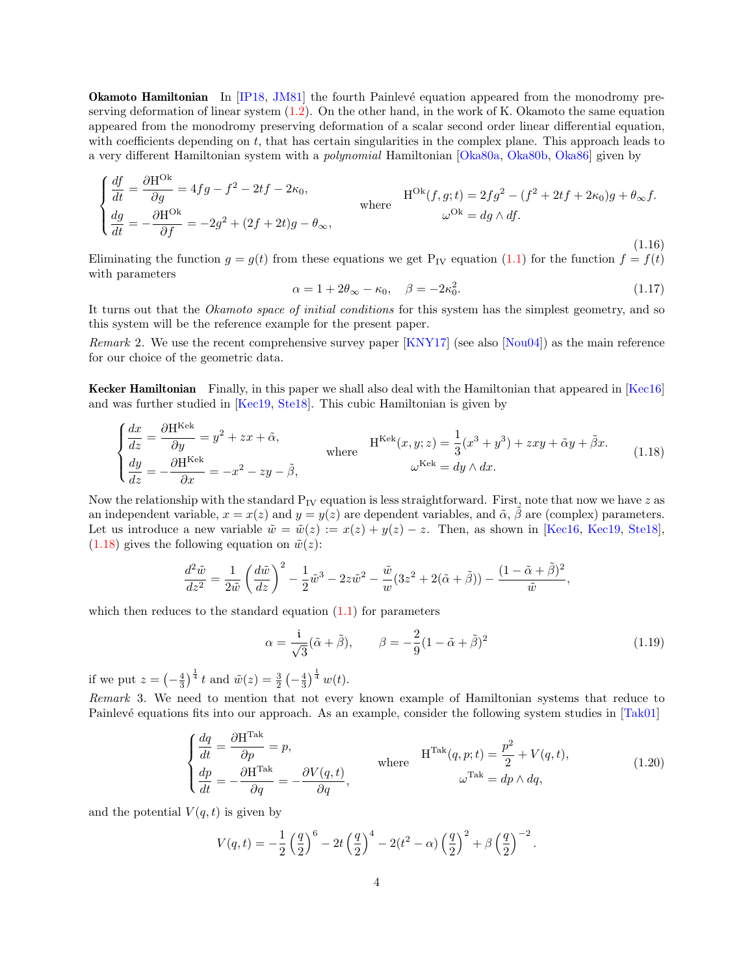**Okamoto Hamiltonian** In [\[IP18,](#page-24-3) [JM81\]](#page-24-4) the fourth Painlevé equation appeared from the monodromy preserving deformation of linear system  $(1.2)$ . On the other hand, in the work of K. Okamoto the same equation appeared from the monodromy preserving deformation of a scalar second order linear differential equation, with coefficients depending on t, that has certain singularities in the complex plane. This approach leads to a very different Hamiltonian system with a *polynomial* Hamiltonian [\[Oka80a,](#page-25-0) [Oka80b,](#page-25-4) [Oka86\]](#page-25-5) given by

<span id="page-3-1"></span>
$$
\begin{cases}\n\frac{df}{dt} = \frac{\partial H^{Ok}}{\partial g} = 4fg - f^2 - 2tf - 2\kappa_0, & \text{where} \\
\frac{dg}{dt} = -\frac{\partial H^{Ok}}{\partial f} = -2g^2 + (2f + 2t)g - \theta_\infty, & \text{where} \\
\end{cases}
$$
\n
$$
H^{Ok}(f, g; t) = 2fg^2 - (f^2 + 2tf + 2\kappa_0)g + \theta_\infty f.
$$
\n
$$
\omega^{Ok} = dg \wedge df.
$$
\n(1.16)

Eliminating the function  $g = g(t)$  from these equations we get P<sub>IV</sub> equation [\(1.1\)](#page-0-0) for the function  $f = f(t)$ with parameters

<span id="page-3-3"></span>
$$
\alpha = 1 + 2\theta_{\infty} - \kappa_0, \quad \beta = -2\kappa_0^2. \tag{1.17}
$$

It turns out that the Okamoto space of initial conditions for this system has the simplest geometry, and so this system will be the reference example for the present paper.

Remark 2. We use the recent comprehensive survey paper [\[KNY17\]](#page-24-5) (see also [\[Nou04\]](#page-25-6)) as the main reference for our choice of the geometric data.

Kecker Hamiltonian Finally, in this paper we shall also deal with the Hamiltonian that appeared in [\[Kec16\]](#page-24-6) and was further studied in [\[Kec19,](#page-24-7) [Ste18\]](#page-25-7). This cubic Hamiltonian is given by

<span id="page-3-0"></span>
$$
\begin{cases}\n\frac{dx}{dz} = \frac{\partial \mathbf{H}^{\text{Kek}}}{\partial y} = y^2 + zx + \tilde{\alpha}, & \text{where} \\
\frac{dy}{dz} = -\frac{\partial \mathbf{H}^{\text{Kek}}}{\partial x} = -x^2 - zy - \tilde{\beta}, & \omega^{\text{Kek}} = dy \wedge dx.\n\end{cases}
$$
\n(1.18)

Now the relationship with the standard  $P_{IV}$  equation is less straightforward. First, note that now we have z as an independent variable,  $x = x(z)$  and  $y = y(z)$  are dependent variables, and  $\tilde{\alpha}$ ,  $\beta$  are (complex) parameters. Let us introduce a new variable  $\tilde{w} = \tilde{w}(z) := x(z) + y(z) - z$ . Then, as shown in [\[Kec16,](#page-24-6) [Kec19,](#page-24-7) [Ste18\]](#page-25-7),  $(1.18)$  gives the following equation on  $\tilde{w}(z)$ :

$$
\frac{d^2\tilde{w}}{dz^2} = \frac{1}{2\tilde{w}} \left(\frac{d\tilde{w}}{dz}\right)^2 - \frac{1}{2}\tilde{w}^3 - 2z\tilde{w}^2 - \frac{\tilde{w}}{w}(3z^2 + 2(\tilde{\alpha} + \tilde{\beta})) - \frac{(1 - \tilde{\alpha} + \tilde{\beta})^2}{\tilde{w}},
$$

which then reduces to the standard equation  $(1.1)$  for parameters

<span id="page-3-4"></span>
$$
\alpha = \frac{i}{\sqrt{3}} (\tilde{\alpha} + \tilde{\beta}), \qquad \beta = -\frac{2}{9} (1 - \tilde{\alpha} + \tilde{\beta})^2 \tag{1.19}
$$

if we put  $z = \left(-\frac{4}{3}\right)^{\frac{1}{4}} t$  and  $\tilde{w}(z) = \frac{3}{2} \left(-\frac{4}{3}\right)^{\frac{1}{4}} w(t)$ .

Remark 3. We need to mention that not every known example of Hamiltonian systems that reduce to Painlevé equations fits into our approach. As an example, consider the following system studies in [\[Tak01\]](#page-25-8)

<span id="page-3-2"></span>
$$
\begin{cases}\n\frac{dq}{dt} = \frac{\partial \mathbf{H}^{\text{Take}}}{\partial p} = p, \\
\frac{dp}{dt} = -\frac{\partial \mathbf{H}^{\text{Take}}}{\partial q} = -\frac{\partial V(q, t)}{\partial q},\n\end{cases} \quad \text{where} \quad \mathbf{H}^{\text{Take}}(q, p; t) = \frac{p^2}{2} + V(q, t),
$$
\n
$$
\omega^{\text{Take}} = dp \wedge dq,
$$
\n(1.20)

and the potential  $V(q, t)$  is given by

$$
V(q,t) = -\frac{1}{2} \left(\frac{q}{2}\right)^6 - 2t \left(\frac{q}{2}\right)^4 - 2(t^2 - \alpha) \left(\frac{q}{2}\right)^2 + \beta \left(\frac{q}{2}\right)^{-2}.
$$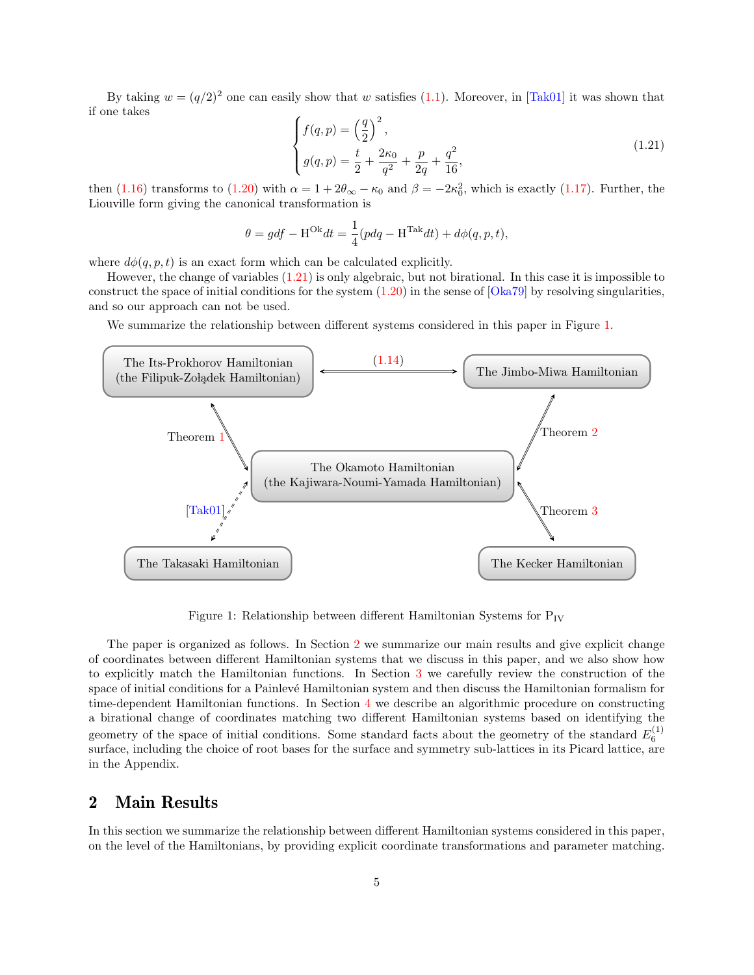By taking  $w = (q/2)^2$  one can easily show that w satisfies [\(1.1\)](#page-0-0). Moreover, in [\[Tak01\]](#page-25-8) it was shown that if one takes

<span id="page-4-0"></span>
$$
\begin{cases}\nf(q,p) = \left(\frac{q}{2}\right)^2, \\
g(q,p) = \frac{t}{2} + \frac{2\kappa_0}{q^2} + \frac{p}{2q} + \frac{q^2}{16},\n\end{cases}
$$
\n(1.21)

then [\(1.16\)](#page-3-1) transforms to [\(1.20\)](#page-3-2) with  $\alpha = 1 + 2\theta_{\infty} - \kappa_0$  and  $\beta = -2\kappa_0^2$ , which is exactly [\(1.17\)](#page-3-3). Further, the Liouville form giving the canonical transformation is

$$
\theta = gdf - \mathbf{H}^{\text{Ok}}dt = \frac{1}{4}(pdq - \mathbf{H}^{\text{Tak}}dt) + d\phi(q, p, t),
$$

where  $d\phi(q, p, t)$  is an exact form which can be calculated explicitly.

However, the change of variables [\(1.21\)](#page-4-0) is only algebraic, but not birational. In this case it is impossible to construct the space of initial conditions for the system  $(1.20)$  in the sense of  $[Oka79]$  by resolving singularities, and so our approach can not be used.

We summarize the relationship between different systems considered in this paper in Figure [1.](#page-4-1)



<span id="page-4-1"></span>Figure 1: Relationship between different Hamiltonian Systems for  $P_{IV}$ 

The paper is organized as follows. In Section [2](#page-4-2) we summarize our main results and give explicit change of coordinates between different Hamiltonian systems that we discuss in this paper, and we also show how to explicitly match the Hamiltonian functions. In Section [3](#page-7-0) we carefully review the construction of the space of initial conditions for a Painlevé Hamiltonian system and then discuss the Hamiltonian formalism for time-dependent Hamiltonian functions. In Section [4](#page-10-0) we describe an algorithmic procedure on constructing a birational change of coordinates matching two different Hamiltonian systems based on identifying the geometry of the space of initial conditions. Some standard facts about the geometry of the standard  $E_6^{(1)}$ surface, including the choice of root bases for the surface and symmetry sub-lattices in its Picard lattice, are in the Appendix.

## <span id="page-4-2"></span>2 Main Results

In this section we summarize the relationship between different Hamiltonian systems considered in this paper, on the level of the Hamiltonians, by providing explicit coordinate transformations and parameter matching.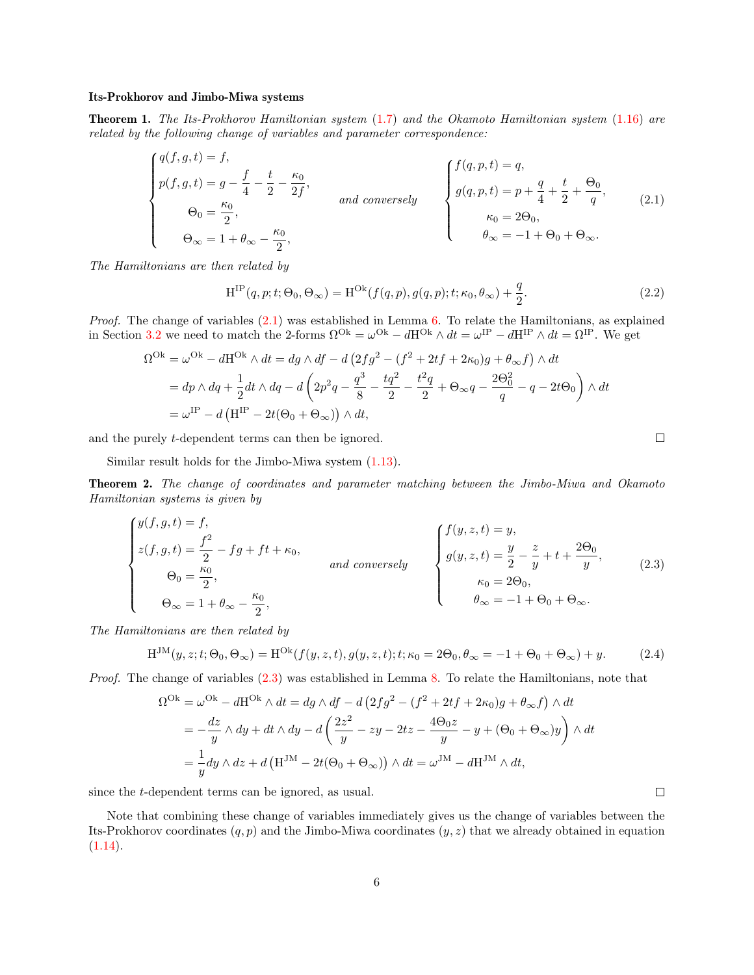#### Its-Prokhorov and Jimbo-Miwa systems

<span id="page-5-0"></span>Theorem 1. The Its-Prokhorov Hamiltonian system [\(1.7\)](#page-1-5) and the Okamoto Hamiltonian system [\(1.16\)](#page-3-1) are related by the following change of variables and parameter correspondence:

<span id="page-5-2"></span>
$$
\begin{cases}\n q(f,g,t) = f, \\
 p(f,g,t) = g - \frac{f}{4} - \frac{t}{2} - \frac{\kappa_0}{2f}, \\
 \Theta_0 = \frac{\kappa_0}{2}, \\
 \Theta_{\infty} = 1 + \theta_{\infty} - \frac{\kappa_0}{2},\n\end{cases}\n\quad and conversely\n\begin{cases}\n f(q,p,t) = q, \\
 g(q,p,t) = p + \frac{q}{4} + \frac{t}{2} + \frac{\Theta_0}{q}, \\
 \kappa_0 = 2\Theta_0, \\
 \theta_{\infty} = -1 + \Theta_0 + \Theta_{\infty}.\n\end{cases}\n\tag{2.1}
$$

The Hamiltonians are then related by

$$
H^{IP}(q, p; t; \Theta_0, \Theta_\infty) = H^{Ok}(f(q, p), g(q, p); t; \kappa_0, \theta_\infty) + \frac{q}{2}.
$$
\n(2.2)

*Proof.* The change of variables  $(2.1)$  was established in Lemma [6.](#page-14-0) To relate the Hamiltonians, as explained in Section [3.2](#page-9-0) we need to match the 2-forms  $\Omega^{Ok} = \omega^{Ok} - dH^{Ok} \wedge dt = \omega^{IP} - dH^{IP} \wedge dt = \Omega^{IP}$ . We get

$$
\Omega^{\text{Ok}} = \omega^{\text{Ok}} - d\text{H}^{\text{Ok}} \wedge dt = dg \wedge df - d\left(2fg^2 - (f^2 + 2tf + 2\kappa_0)g + \theta_\infty f\right) \wedge dt
$$
  
=  $dp \wedge dq + \frac{1}{2}dt \wedge dq - d\left(2p^2q - \frac{q^3}{8} - \frac{tq^2}{2} - \frac{t^2q}{2} + \Theta_\infty q - \frac{2\Theta_0^2}{q} - q - 2t\Theta_0\right) \wedge dt$   
=  $\omega^{\text{IP}} - d\left(\text{H}^{\text{IP}} - 2t(\Theta_0 + \Theta_\infty)\right) \wedge dt,$ 

and the purely t-dependent terms can then be ignored.

Similar result holds for the Jimbo-Miwa system [\(1.13\)](#page-2-2).

<span id="page-5-1"></span>Theorem 2. The change of coordinates and parameter matching between the Jimbo-Miwa and Okamoto Hamiltonian systems is given by

<span id="page-5-3"></span>
$$
\begin{cases}\ny(f,g,t) = f, \\
z(f,g,t) = \frac{f^2}{2} - fg + ft + \kappa_0, \\
\Theta_0 = \frac{\kappa_0}{2}, \\
\Theta_{\infty} = 1 + \theta_{\infty} - \frac{\kappa_0}{2},\n\end{cases}\n\quad and conversely\n\begin{cases}\nf(y,z,t) = y, \\
g(y,z,t) = \frac{y}{2} - \frac{z}{y} + t + \frac{2\Theta_0}{y}, \\
\kappa_0 = 2\Theta_0, \\
\theta_{\infty} = -1 + \Theta_0 + \Theta_{\infty}.\n\end{cases}\n\tag{2.3}
$$

The Hamiltonians are then related by

$$
H^{JM}(y, z; t; \Theta_0, \Theta_\infty) = H^{Ok}(f(y, z, t), g(y, z, t); t; \kappa_0 = 2\Theta_0, \theta_\infty = -1 + \Theta_0 + \Theta_\infty) + y. \tag{2.4}
$$

Proof. The change of variables [\(2.3\)](#page-5-3) was established in Lemma [8.](#page-17-0) To relate the Hamiltonians, note that

$$
\Omega^{\text{Ok}} = \omega^{\text{Ok}} - d\text{H}^{\text{Ok}} \wedge dt = dg \wedge df - d\left(2fg^2 - (f^2 + 2tf + 2\kappa_0)g + \theta_\infty f\right) \wedge dt
$$
  
=  $-\frac{dz}{y} \wedge dy + dt \wedge dy - d\left(\frac{2z^2}{y} - zy - 2tz - \frac{4\Theta_0 z}{y} - y + (\Theta_0 + \Theta_\infty)y\right) \wedge dt$   
=  $\frac{1}{y}dy \wedge dz + d\left(\text{H}^{\text{JM}} - 2t(\Theta_0 + \Theta_\infty)\right) \wedge dt = \omega^{\text{JM}} - d\text{H}^{\text{JM}} \wedge dt,$ 

since the t-dependent terms can be ignored, as usual.

Note that combining these change of variables immediately gives us the change of variables between the Its-Prokhorov coordinates  $(q, p)$  and the Jimbo-Miwa coordinates  $(y, z)$  that we already obtained in equation  $(1.14).$  $(1.14).$ 

 $\Box$ 

 $\Box$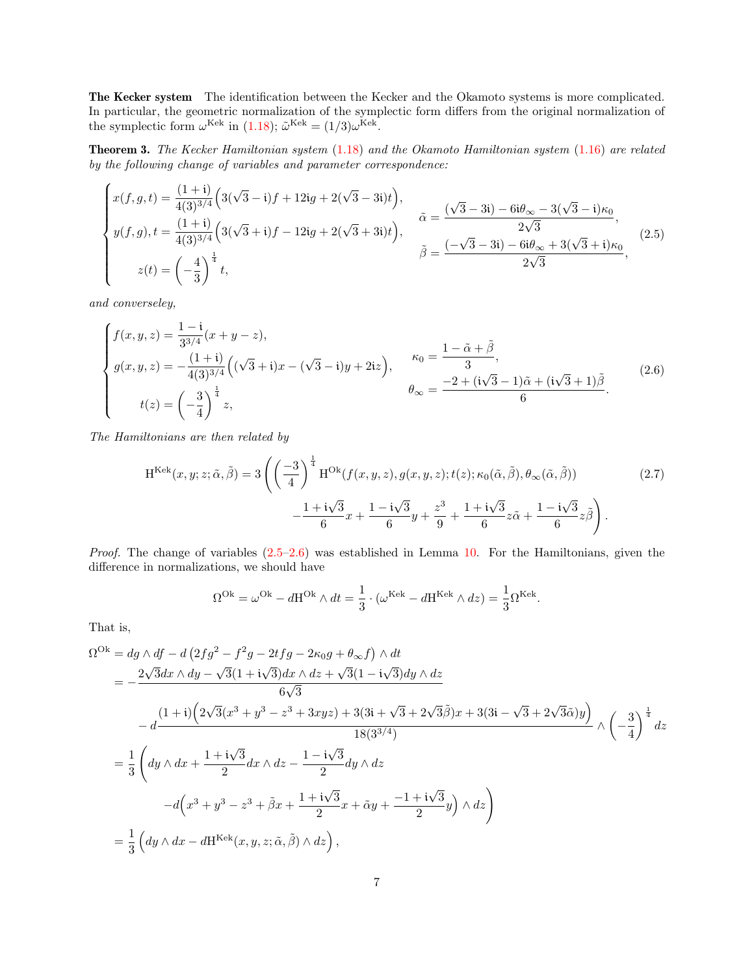The Kecker system The identification between the Kecker and the Okamoto systems is more complicated. In particular, the geometric normalization of the symplectic form differs from the original normalization of the symplectic form  $\omega^{\text{Kek}}$  in [\(1.18\)](#page-3-0);  $\tilde{\omega}^{\text{Kek}} = (1/3)\omega^{\text{Kek}}$ .

<span id="page-6-0"></span>Theorem 3. The Kecker Hamiltonian system [\(1.18\)](#page-3-0) and the Okamoto Hamiltonian system [\(1.16\)](#page-3-1) are related by the following change of variables and parameter correspondence:

<span id="page-6-1"></span>
$$
\begin{cases}\nx(f,g,t) = \frac{(1+i)}{4(3)^{3/4}} \left(3(\sqrt{3}-i)f + 12ig + 2(\sqrt{3}-3i)t\right), \\
y(f,g), t = \frac{(1+i)}{4(3)^{3/4}} \left(3(\sqrt{3}+i)f - 12ig + 2(\sqrt{3}+3i)t\right), \\
z(t) = \left(-\frac{4}{3}\right)^{\frac{1}{4}} t, \\
\end{cases}\n\tilde{\beta} = \frac{(\sqrt{3}-3i) - 6i\theta_{\infty} - 3(\sqrt{3}-i)\kappa_{0}}{2\sqrt{3}},
$$
\n(2.5)

and converseley,

$$
\begin{cases}\nf(x,y,z) = \frac{1-i}{3^{3/4}}(x+y-z), \\
g(x,y,z) = -\frac{(1+i)}{4(3)^{3/4}}\left((\sqrt{3}+i)x - (\sqrt{3}-i)y + 2iz\right), & \kappa_0 = \frac{1-\tilde{\alpha}+\tilde{\beta}}{3}, \\
t(z) = \left(-\frac{3}{4}\right)^{\frac{1}{4}}z, & \theta_{\infty} = \frac{-2+(i\sqrt{3}-1)\tilde{\alpha}+(i\sqrt{3}+1)\tilde{\beta}}{6}.\n\end{cases}
$$
\n(2.6)

The Hamiltonians are then related by

$$
H^{Kek}(x, y; z; \tilde{\alpha}, \tilde{\beta}) = 3\left( \left(\frac{-3}{4}\right)^{\frac{1}{4}} H^{Ok}(f(x, y, z), g(x, y, z); t(z); \kappa_0(\tilde{\alpha}, \tilde{\beta}), \theta_{\infty}(\tilde{\alpha}, \tilde{\beta})) - \frac{1 + i\sqrt{3}}{6}x + \frac{1 - i\sqrt{3}}{6}y + \frac{z^3}{9} + \frac{1 + i\sqrt{3}}{6}z\tilde{\alpha} + \frac{1 - i\sqrt{3}}{6}z\tilde{\beta} \right).
$$
\n(2.7)

*Proof.* The change of variables  $(2.5-2.6)$  $(2.5-2.6)$  was established in Lemma [10.](#page-19-0) For the Hamiltonians, given the difference in normalizations, we should have

<span id="page-6-2"></span>
$$
\Omega^{\text{Ok}} = \omega^{\text{Ok}} - d\mathbf{H}^{\text{Ok}} \wedge dt = \frac{1}{3} \cdot (\omega^{\text{Kek}} - d\mathbf{H}^{\text{Kek}} \wedge dz) = \frac{1}{3} \Omega^{\text{Kek}}.
$$

That is,

$$
\Omega^{Ok} = dg \wedge df - d \left( 2fg^2 - f^2g - 2tfg - 2\kappa_0 g + \theta_\infty f \right) \wedge dt
$$
  
=  $-\frac{2\sqrt{3}dx \wedge dy - \sqrt{3}(1 + i\sqrt{3})dx \wedge dz + \sqrt{3}(1 - i\sqrt{3})dy \wedge dz}{6\sqrt{3}}$   
 $-d\frac{(1 + i)\left(2\sqrt{3}(x^3 + y^3 - z^3 + 3xyz) + 3(3i + \sqrt{3} + 2\sqrt{3}\tilde{\beta})x + 3(3i - \sqrt{3} + 2\sqrt{3}\tilde{\alpha})y\right)}{18(3^{3/4})} \wedge \left(-\frac{3}{4}\right)^{\frac{1}{4}} dz$   
=  $\frac{1}{3}\left( dy \wedge dx + \frac{1 + i\sqrt{3}}{2}dx \wedge dz - \frac{1 - i\sqrt{3}}{2}dy \wedge dz$   
 $-d\left(x^3 + y^3 - z^3 + \tilde{\beta}x + \frac{1 + i\sqrt{3}}{2}x + \tilde{\alpha}y + \frac{-1 + i\sqrt{3}}{2}y\right) \wedge dz\right)$   
=  $\frac{1}{3}\left( dy \wedge dx - dH^{Kek}(x, y, z; \tilde{\alpha}, \tilde{\beta}) \wedge dz\right),$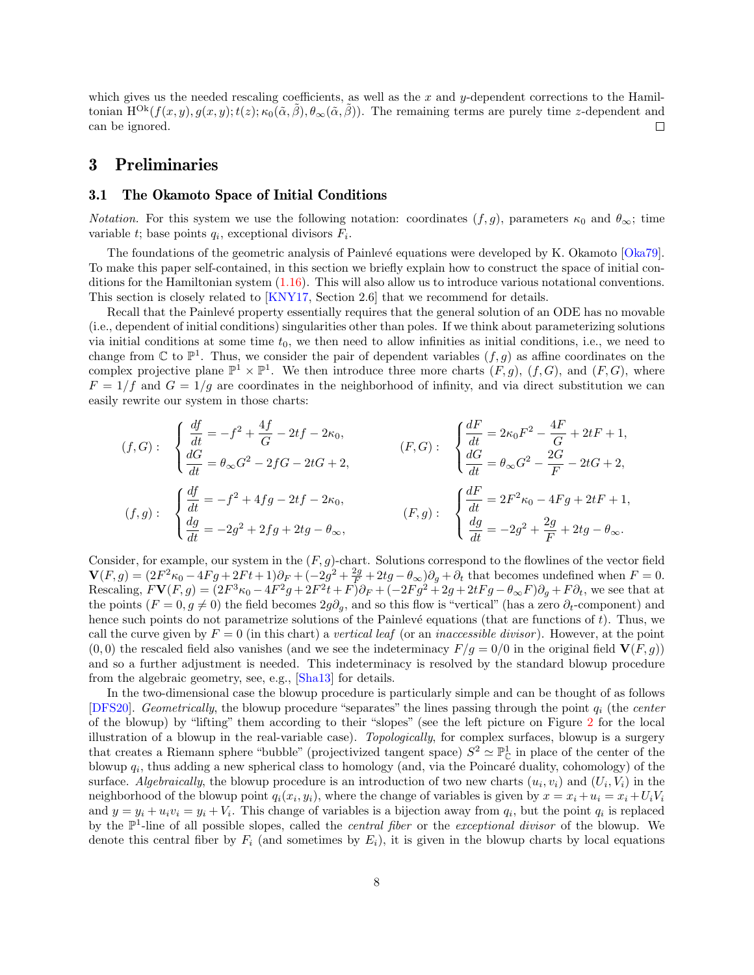which gives us the needed rescaling coefficients, as well as the x and y-dependent corrections to the Hamiltonian  $H^{Ok}(f(x, y), g(x, y); t(z); \kappa_0(\tilde{\alpha}, \tilde{\beta}), \theta_\infty(\tilde{\alpha}, \tilde{\beta}))$ . The remaining terms are purely time z-dependent and can be ignored.  $\Box$ 

## <span id="page-7-0"></span>3 Preliminaries

### <span id="page-7-1"></span>3.1 The Okamoto Space of Initial Conditions

*Notation.* For this system we use the following notation: coordinates  $(f, g)$ , parameters  $\kappa_0$  and  $\theta_{\infty}$ ; time variable  $t$ ; base points  $q_i$ , exceptional divisors  $F_i$ .

The foundations of the geometric analysis of Painlevé equations were developed by K. Okamoto [\[Oka79\]](#page-25-1). To make this paper self-contained, in this section we briefly explain how to construct the space of initial conditions for the Hamiltonian system [\(1.16\)](#page-3-1). This will also allow us to introduce various notational conventions. This section is closely related to [\[KNY17,](#page-24-5) Section 2.6] that we recommend for details.

Recall that the Painlevé property essentially requires that the general solution of an ODE has no movable (i.e., dependent of initial conditions) singularities other than poles. If we think about parameterizing solutions via initial conditions at some time  $t_0$ , we then need to allow infinities as initial conditions, i.e., we need to change from  $\mathbb C$  to  $\mathbb P^1$ . Thus, we consider the pair of dependent variables  $(f, g)$  as affine coordinates on the complex projective plane  $\mathbb{P}^1 \times \mathbb{P}^1$ . We then introduce three more charts  $(F, g)$ ,  $(f, G)$ , and  $(F, G)$ , where  $F = 1/f$  and  $G = 1/g$  are coordinates in the neighborhood of infinity, and via direct substitution we can easily rewrite our system in those charts:

$$
(f, G): \begin{cases} \frac{df}{dt} = -f^2 + \frac{4f}{G} - 2tf - 2\kappa_0, \\ \frac{dG}{dt} = \theta_{\infty}G^2 - 2fG - 2tG + 2, \\ \frac{df}{dt} = -f^2 + 4fg - 2tf - 2\kappa_0, \\ \frac{dg}{dt} = -2g^2 + 2fg + 2tg - \theta_{\infty}, \end{cases} (F, g): \begin{cases} \frac{dF}{dt} = 2\kappa_0F^2 - \frac{4F}{G} + 2tF + 1, \\ \frac{dG}{dt} = \theta_{\infty}G^2 - \frac{2G}{F} - 2tG + 2, \\ \frac{df}{dt} = 2F^2\kappa_0 - 4Fg + 2tF + 1, \\ \frac{dg}{dt} = -2g^2 + \frac{2g}{F} + 2tg - \theta_{\infty}. \end{cases}
$$

Consider, for example, our system in the  $(F, g)$ -chart. Solutions correspond to the flowlines of the vector field  $\mathbf{V}(F,g) = (2F^2\kappa_0 - 4Fg + 2Ft + 1)\partial_F + (-2g^2 + \frac{2g}{F} + 2tg - \theta_\infty)\partial_g + \partial_t$  that becomes undefined when  $F = 0$ . Rescaling,  $FV(F,g) = (2F^3\kappa_0 - 4F^2g + 2F^2t + F)\partial_F + (-2Fg^2 + 2g + 2tFg - \theta_\infty F)\partial_g + F\partial_t$ , we see that at the points  $(F = 0, g \neq 0)$  the field becomes  $2g\partial_q$ , and so this flow is "vertical" (has a zero  $\partial_t$ -component) and hence such points do not parametrize solutions of the Painlevé equations (that are functions of  $t$ ). Thus, we call the curve given by  $F = 0$  (in this chart) a vertical leaf (or an *inaccessible divisor*). However, at the point  $(0, 0)$  the rescaled field also vanishes (and we see the indeterminacy  $F/g = 0/0$  in the original field  $V(F, g)$ ) and so a further adjustment is needed. This indeterminacy is resolved by the standard blowup procedure from the algebraic geometry, see, e.g., [\[Sha13\]](#page-25-9) for details.

In the two-dimensional case the blowup procedure is particularly simple and can be thought of as follows [\[DFS20\]](#page-24-2). Geometrically, the blowup procedure "separates" the lines passing through the point  $q_i$  (the center of the blowup) by "lifting" them according to their "slopes" (see the left picture on Figure [2](#page-8-0) for the local illustration of a blowup in the real-variable case). Topologically, for complex surfaces, blowup is a surgery that creates a Riemann sphere "bubble" (projectivized tangent space)  $S^2 \simeq \mathbb{P}^1_{\mathbb{C}}$  in place of the center of the blowup  $q_i$ , thus adding a new spherical class to homology (and, via the Poincaré duality, cohomology) of the surface. Algebraically, the blowup procedure is an introduction of two new charts  $(u_i, v_i)$  and  $(U_i, V_i)$  in the neighborhood of the blowup point  $q_i(x_i, y_i)$ , where the change of variables is given by  $x = x_i + u_i = x_i + U_i V_i$ and  $y = y_i + u_i v_i = y_i + V_i$ . This change of variables is a bijection away from  $q_i$ , but the point  $q_i$  is replaced by the  $\mathbb{P}^1$ -line of all possible slopes, called the *central fiber* or the *exceptional divisor* of the blowup. We denote this central fiber by  $F_i$  (and sometimes by  $E_i$ ), it is given in the blowup charts by local equations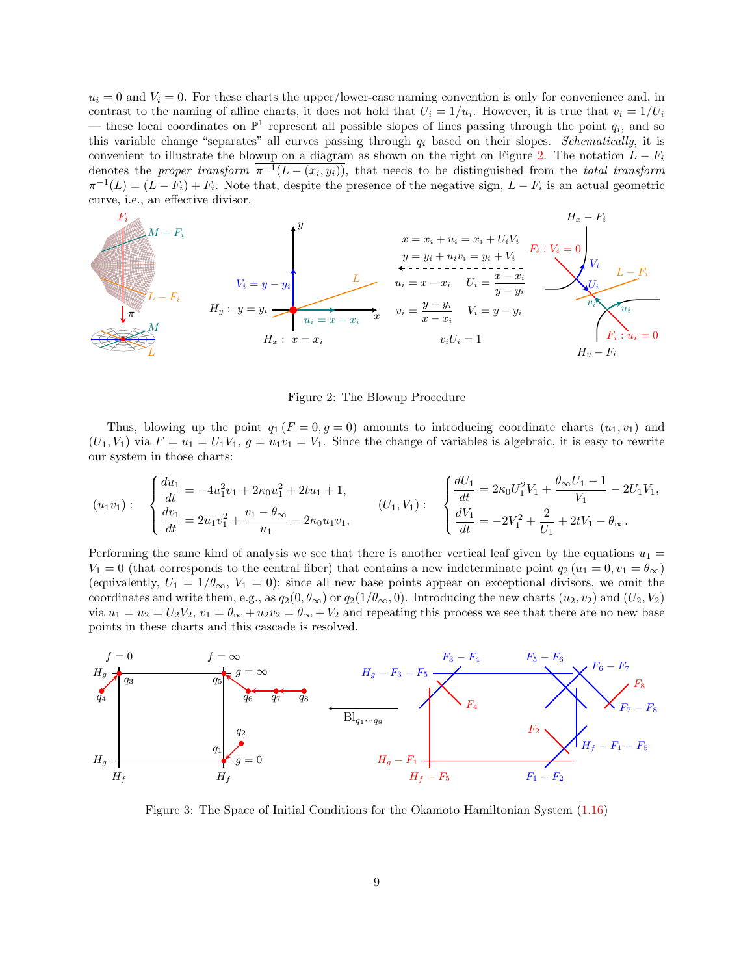$u_i = 0$  and  $V_i = 0$ . For these charts the upper/lower-case naming convention is only for convenience and, in contrast to the naming of affine charts, it does not hold that  $U_i = 1/u_i$ . However, it is true that  $v_i = 1/U_i$ — these local coordinates on  $\mathbb{P}^1$  represent all possible slopes of lines passing through the point  $q_i$ , and so this variable change "separates" all curves passing through  $q_i$  based on their slopes. Schematically, it is convenient to illustrate the blowup on a diagram as shown on the right on Figure [2.](#page-8-0) The notation  $L - F_i$ denotes the proper transform  $\pi^{-1}(L - (x_i, y_i))$ , that needs to be distinguished from the total transform  $\pi^{-1}(L) = (L - F_i) + F_i$ . Note that, despite the presence of the negative sign,  $L - F_i$  is an actual geometric curve, i.e., an effective divisor.



<span id="page-8-0"></span>Figure 2: The Blowup Procedure

Thus, blowing up the point  $q_1 (F = 0, g = 0)$  amounts to introducing coordinate charts  $(u_1, v_1)$  and  $(U_1, V_1)$  via  $F = u_1 = U_1V_1$ ,  $g = u_1v_1 = V_1$ . Since the change of variables is algebraic, it is easy to rewrite our system in those charts:

$$
(u_1v_1): \begin{cases} \frac{du_1}{dt} = -4u_1^2v_1 + 2\kappa_0u_1^2 + 2tu_1 + 1, \\ \frac{dv_1}{dt} = 2u_1v_1^2 + \frac{v_1 - \theta_\infty}{u_1} - 2\kappa_0u_1v_1, \end{cases} \qquad (U_1, V_1): \begin{cases} \frac{dU_1}{dt} = 2\kappa_0U_1^2V_1 + \frac{\theta_\infty U_1 - 1}{V_1} - 2U_1V_1, \\ \frac{dV_1}{dt} = -2V_1^2 + \frac{2}{U_1} + 2tV_1 - \theta_\infty. \end{cases}
$$

Performing the same kind of analysis we see that there is another vertical leaf given by the equations  $u_1 =$  $V_1 = 0$  (that corresponds to the central fiber) that contains a new indeterminate point  $q_2$  ( $u_1 = 0, v_1 = \theta_{\infty}$ ) (equivalently,  $U_1 = 1/\theta_{\infty}$ ,  $V_1 = 0$ ); since all new base points appear on exceptional divisors, we omit the coordinates and write them, e.g., as  $q_2(0, \theta_\infty)$  or  $q_2(1/\theta_\infty, 0)$ . Introducing the new charts  $(u_2, v_2)$  and  $(U_2, V_2)$ via  $u_1 = u_2 = U_2 V_2$ ,  $v_1 = \theta_\infty + u_2 v_2 = \theta_\infty + V_2$  and repeating this process we see that there are no new base points in these charts and this cascade is resolved.



<span id="page-8-1"></span>Figure 3: The Space of Initial Conditions for the Okamoto Hamiltonian System [\(1.16\)](#page-3-1)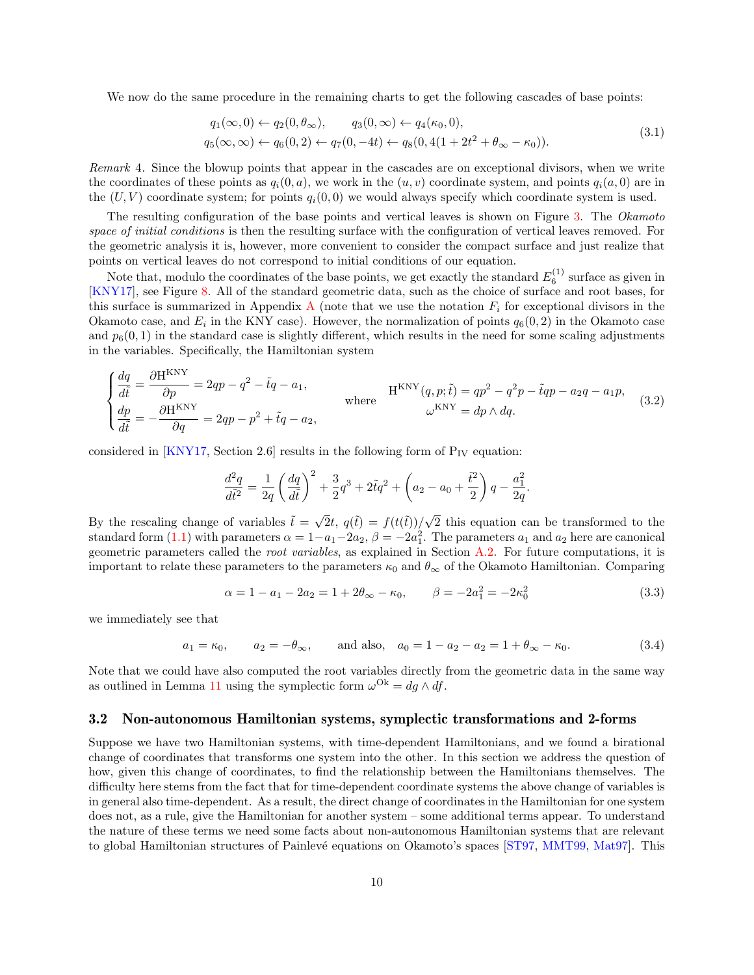We now do the same procedure in the remaining charts to get the following cascades of base points:

$$
q_1(\infty, 0) \leftarrow q_2(0, \theta_{\infty}), \qquad q_3(0, \infty) \leftarrow q_4(\kappa_0, 0), q_5(\infty, \infty) \leftarrow q_6(0, 2) \leftarrow q_7(0, -4t) \leftarrow q_8(0, 4(1 + 2t^2 + \theta_{\infty} - \kappa_0)).
$$
\n(3.1)

Remark 4. Since the blowup points that appear in the cascades are on exceptional divisors, when we write the coordinates of these points as  $q_i(0, a)$ , we work in the  $(u, v)$  coordinate system, and points  $q_i(a, 0)$  are in the  $(U, V)$  coordinate system; for points  $q_i(0, 0)$  we would always specify which coordinate system is used.

The resulting configuration of the base points and vertical leaves is shown on Figure [3.](#page-8-1) The Okamoto space of initial conditions is then the resulting surface with the configuration of vertical leaves removed. For the geometric analysis it is, however, more convenient to consider the compact surface and just realize that points on vertical leaves do not correspond to initial conditions of our equation.

Note that, modulo the coordinates of the base points, we get exactly the standard  $E_6^{(1)}$  surface as given in [\[KNY17\]](#page-24-5), see Figure [8.](#page-22-0) All of the standard geometric data, such as the choice of surface and root bases, for this surface is summarized in [A](#page-21-0)ppendix A (note that we use the notation  $F_i$  for exceptional divisors in the Okamoto case, and  $E_i$  in the KNY case). However, the normalization of points  $q_6(0, 2)$  in the Okamoto case and  $p_6(0, 1)$  in the standard case is slightly different, which results in the need for some scaling adjustments in the variables. Specifically, the Hamiltonian system

$$
\begin{cases}\n\frac{dq}{d\tilde{t}} = \frac{\partial H^{KNY}}{\partial p} = 2qp - q^2 - \tilde{t}q - a_1, \\
\frac{dp}{d\tilde{t}} = -\frac{\partial H^{KNY}}{\partial q} = 2qp - p^2 + \tilde{t}q - a_2, \\
\end{cases} \text{ where } H^{KNY}(q, p; \tilde{t}) = qp^2 - q^2p - \tilde{t}qp - a_2q - a_1p, \\
\omega^{KNY} = dp \wedge dq.
$$
\n(3.2)

considered in [\[KNY17,](#page-24-5) Section 2.6] results in the following form of  $P_{IV}$  equation:

$$
\frac{d^2q}{d\tilde{t}^2} = \frac{1}{2q} \left(\frac{dq}{d\tilde{t}}\right)^2 + \frac{3}{2}q^3 + 2\tilde{t}q^2 + \left(a_2 - a_0 + \frac{\tilde{t}^2}{2}\right)q - \frac{a_1^2}{2q}.
$$

By the rescaling change of variables  $\tilde{t} = \sqrt{2}t$ ,  $q(\tilde{t}) = f(t(\tilde{t})) / \sqrt{2}$ 2 this equation can be transformed to the standard form  $(1.1)$  with parameters  $\alpha = 1 - a_1 - 2a_2$ ,  $\beta = -2a_1^2$ . The parameters  $a_1$  and  $a_2$  here are canonical geometric parameters called the root variables, as explained in Section [A.2.](#page-22-1) For future computations, it is important to relate these parameters to the parameters  $\kappa_0$  and  $\theta_{\infty}$  of the Okamoto Hamiltonian. Comparing

<span id="page-9-1"></span>
$$
\alpha = 1 - a_1 - 2a_2 = 1 + 2\theta_\infty - \kappa_0, \qquad \beta = -2a_1^2 = -2\kappa_0^2 \tag{3.3}
$$

we immediately see that

<span id="page-9-2"></span>
$$
a_1 = \kappa_0
$$
,  $a_2 = -\theta_\infty$ , and also,  $a_0 = 1 - a_2 - a_2 = 1 + \theta_\infty - \kappa_0$ . (3.4)

Note that we could have also computed the root variables directly from the geometric data in the same way as outlined in Lemma [11](#page-22-2) using the symplectic form  $\omega^{Ok} = dg \wedge df$ .

#### <span id="page-9-0"></span>3.2 Non-autonomous Hamiltonian systems, symplectic transformations and 2-forms

Suppose we have two Hamiltonian systems, with time-dependent Hamiltonians, and we found a birational change of coordinates that transforms one system into the other. In this section we address the question of how, given this change of coordinates, to find the relationship between the Hamiltonians themselves. The difficulty here stems from the fact that for time-dependent coordinate systems the above change of variables is in general also time-dependent. As a result, the direct change of coordinates in the Hamiltonian for one system does not, as a rule, give the Hamiltonian for another system – some additional terms appear. To understand the nature of these terms we need some facts about non-autonomous Hamiltonian systems that are relevant to global Hamiltonian structures of Painlevé equations on Okamoto's spaces [\[ST97,](#page-25-10) [MMT99,](#page-25-11) [Mat97\]](#page-24-8). This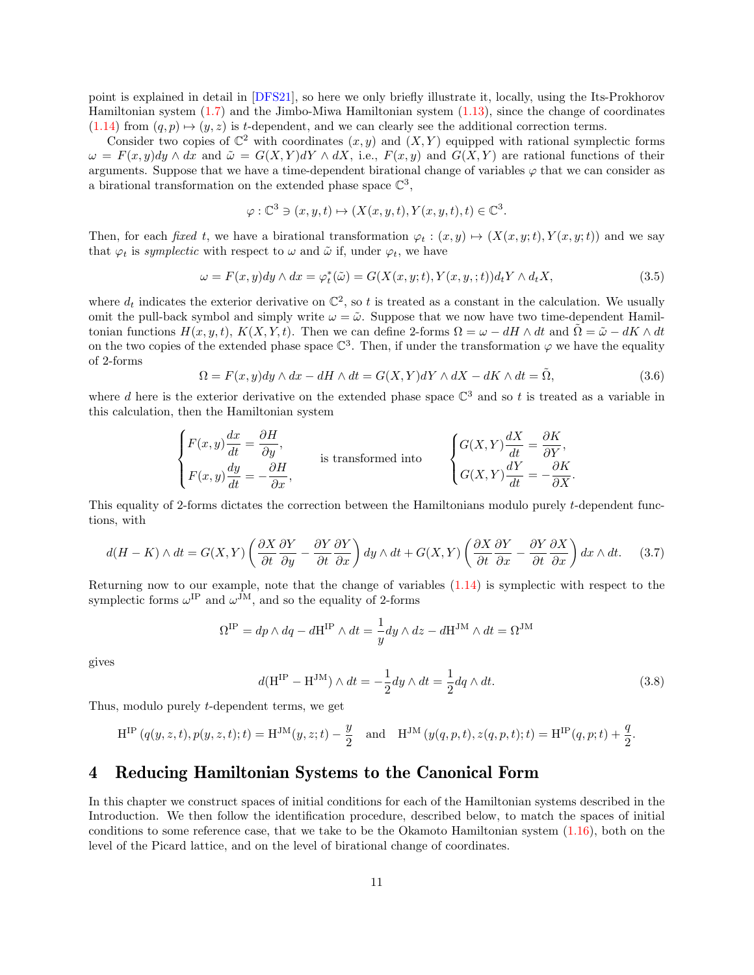point is explained in detail in [\[DFS21\]](#page-24-9), so here we only briefly illustrate it, locally, using the Its-Prokhorov Hamiltonian system [\(1.7\)](#page-1-5) and the Jimbo-Miwa Hamiltonian system [\(1.13\)](#page-2-2), since the change of coordinates  $(1.14)$  from  $(q, p) \mapsto (y, z)$  is t-dependent, and we can clearly see the additional correction terms.

Consider two copies of  $\mathbb{C}^2$  with coordinates  $(x, y)$  and  $(X, Y)$  equipped with rational symplectic forms  $\omega = F(x, y)dy \wedge dx$  and  $\tilde{\omega} = G(X, Y)dY \wedge dX$ , i.e.,  $F(x, y)$  and  $G(X, Y)$  are rational functions of their arguments. Suppose that we have a time-dependent birational change of variables  $\varphi$  that we can consider as a birational transformation on the extended phase space  $\mathbb{C}^3$ ,

$$
\varphi : \mathbb{C}^3 \ni (x, y, t) \mapsto (X(x, y, t), Y(x, y, t), t) \in \mathbb{C}^3.
$$

Then, for each fixed t, we have a birational transformation  $\varphi_t : (x, y) \mapsto (X(x, y; t), Y(x, y; t))$  and we say that  $\varphi_t$  is *symplectic* with respect to  $\omega$  and  $\tilde{\omega}$  if, under  $\varphi_t$ , we have

$$
\omega = F(x, y)dy \wedge dx = \varphi_t^*(\tilde{\omega}) = G(X(x, y; t), Y(x, y, ; t))d_tY \wedge d_tX,
$$
\n(3.5)

where  $d_t$  indicates the exterior derivative on  $\mathbb{C}^2$ , so t is treated as a constant in the calculation. We usually omit the pull-back symbol and simply write  $\omega = \tilde{\omega}$ . Suppose that we now have two time-dependent Hamiltonian functions  $H(x, y, t)$ ,  $K(X, Y, t)$ . Then we can define 2-forms  $\Omega = \omega - dH \wedge dt$  and  $\tilde{\Omega} = \tilde{\omega} - dK \wedge dt$ on the two copies of the extended phase space  $\mathbb{C}^3$ . Then, if under the transformation  $\varphi$  we have the equality of 2-forms

$$
\Omega = F(x, y)dy \wedge dx - dH \wedge dt = G(X, Y)dY \wedge dX - dK \wedge dt = \tilde{\Omega},
$$
\n(3.6)

where d here is the exterior derivative on the extended phase space  $\mathbb{C}^3$  and so t is treated as a variable in this calculation, then the Hamiltonian system

$$
\begin{cases} F(x,y) \frac{dx}{dt} = \frac{\partial H}{\partial y}, \\ F(x,y) \frac{dy}{dt} = -\frac{\partial H}{\partial x}, \end{cases}
$$
 is transformed into 
$$
\begin{cases} G(X,Y) \frac{dX}{dt} = \frac{\partial K}{\partial Y}, \\ G(X,Y) \frac{dY}{dt} = -\frac{\partial K}{\partial X}. \end{cases}
$$

This equality of 2-forms dictates the correction between the Hamiltonians modulo purely t-dependent functions, with

$$
d(H - K) \wedge dt = G(X, Y) \left( \frac{\partial X}{\partial t} \frac{\partial Y}{\partial y} - \frac{\partial Y}{\partial t} \frac{\partial Y}{\partial x} \right) dy \wedge dt + G(X, Y) \left( \frac{\partial X}{\partial t} \frac{\partial Y}{\partial x} - \frac{\partial Y}{\partial t} \frac{\partial X}{\partial x} \right) dx \wedge dt. \tag{3.7}
$$

Returning now to our example, note that the change of variables [\(1.14\)](#page-2-4) is symplectic with respect to the symplectic forms  $\omega^{\text{IP}}$  and  $\omega^{\text{JM}}$ , and so the equality of 2-forms

$$
\Omega^{\mathrm{IP}} = dp \wedge dq - d\mathbf{H}^{\mathrm{IP}} \wedge dt = \frac{1}{y} dy \wedge dz - d\mathbf{H}^{\mathrm{JM}} \wedge dt = \Omega^{\mathrm{JM}}
$$

gives

$$
d(\mathbf{H}^{\mathrm{IP}} - \mathbf{H}^{\mathrm{JM}}) \wedge dt = -\frac{1}{2} dy \wedge dt = \frac{1}{2} dq \wedge dt.
$$
 (3.8)

Thus, modulo purely t-dependent terms, we get

$$
H^{IP}(q(y, z, t), p(y, z, t); t) = H^{JM}(y, z; t) - \frac{y}{2} \text{ and } H^{JM}(y(q, p, t), z(q, p, t); t) = H^{IP}(q, p; t) + \frac{q}{2}.
$$

## <span id="page-10-0"></span>4 Reducing Hamiltonian Systems to the Canonical Form

In this chapter we construct spaces of initial conditions for each of the Hamiltonian systems described in the Introduction. We then follow the identification procedure, described below, to match the spaces of initial conditions to some reference case, that we take to be the Okamoto Hamiltonian system [\(1.16\)](#page-3-1), both on the level of the Picard lattice, and on the level of birational change of coordinates.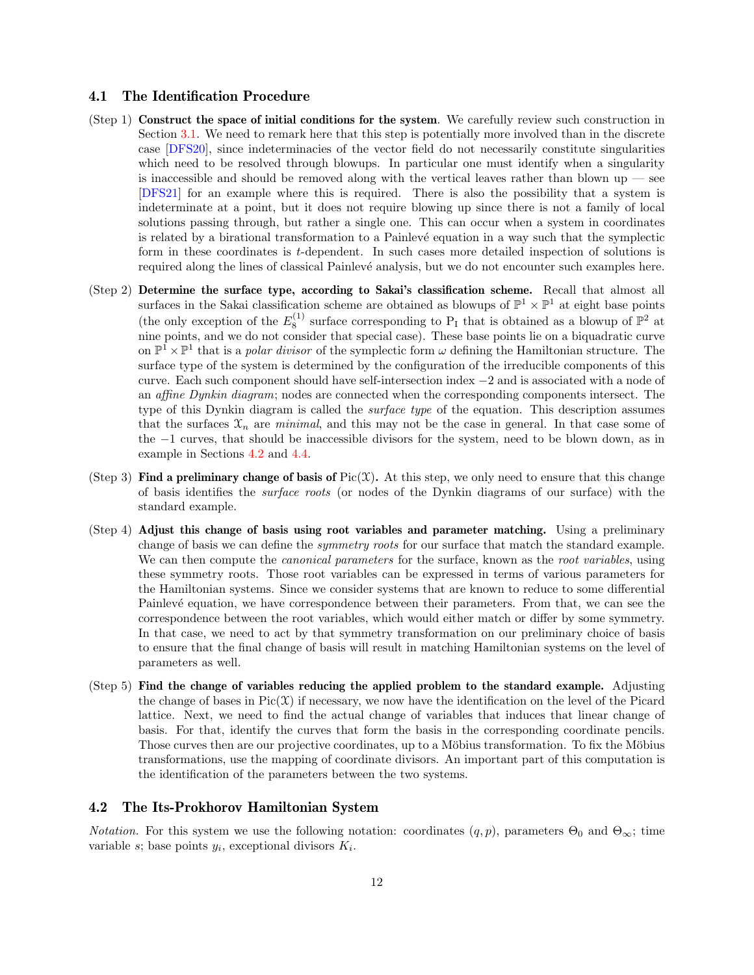#### 4.1 The Identification Procedure

- (Step 1) Construct the space of initial conditions for the system. We carefully review such construction in Section [3.1.](#page-7-1) We need to remark here that this step is potentially more involved than in the discrete case [\[DFS20\]](#page-24-2), since indeterminacies of the vector field do not necessarily constitute singularities which need to be resolved through blowups. In particular one must identify when a singularity is inaccessible and should be removed along with the vertical leaves rather than blown  $up$  — see [\[DFS21\]](#page-24-9) for an example where this is required. There is also the possibility that a system is indeterminate at a point, but it does not require blowing up since there is not a family of local solutions passing through, but rather a single one. This can occur when a system in coordinates is related by a birational transformation to a Painlevé equation in a way such that the symplectic form in these coordinates is t-dependent. In such cases more detailed inspection of solutions is required along the lines of classical Painlevé analysis, but we do not encounter such examples here.
- (Step 2) Determine the surface type, according to Sakai's classification scheme. Recall that almost all surfaces in the Sakai classification scheme are obtained as blowups of  $\mathbb{P}^1 \times \mathbb{P}^1$  at eight base points (the only exception of the  $E_8^{(1)}$  surface corresponding to P<sub>I</sub> that is obtained as a blowup of  $\mathbb{P}^2$  at nine points, and we do not consider that special case). These base points lie on a biquadratic curve on  $\mathbb{P}^1 \times \mathbb{P}^1$  that is a *polar divisor* of the symplectic form  $\omega$  defining the Hamiltonian structure. The surface type of the system is determined by the configuration of the irreducible components of this curve. Each such component should have self-intersection index −2 and is associated with a node of an affine Dynkin diagram; nodes are connected when the corresponding components intersect. The type of this Dynkin diagram is called the *surface type* of the equation. This description assumes that the surfaces  $\mathcal{X}_n$  are *minimal*, and this may not be the case in general. In that case some of the −1 curves, that should be inaccessible divisors for the system, need to be blown down, as in example in Sections [4.2](#page-11-0) and [4.4.](#page-17-1)
- (Step 3) Find a preliminary change of basis of  $Pic(\mathfrak{X})$ . At this step, we only need to ensure that this change of basis identifies the surface roots (or nodes of the Dynkin diagrams of our surface) with the standard example.
- (Step 4) Adjust this change of basis using root variables and parameter matching. Using a preliminary change of basis we can define the *symmetry roots* for our surface that match the standard example. We can then compute the *canonical parameters* for the surface, known as the *root variables*, using these symmetry roots. Those root variables can be expressed in terms of various parameters for the Hamiltonian systems. Since we consider systems that are known to reduce to some differential Painlevé equation, we have correspondence between their parameters. From that, we can see the correspondence between the root variables, which would either match or differ by some symmetry. In that case, we need to act by that symmetry transformation on our preliminary choice of basis to ensure that the final change of basis will result in matching Hamiltonian systems on the level of parameters as well.
- (Step 5) Find the change of variables reducing the applied problem to the standard example. Adjusting the change of bases in  $Pic(\mathfrak{X})$  if necessary, we now have the identification on the level of the Picard lattice. Next, we need to find the actual change of variables that induces that linear change of basis. For that, identify the curves that form the basis in the corresponding coordinate pencils. Those curves then are our projective coordinates, up to a Möbius transformation. To fix the Möbius transformations, use the mapping of coordinate divisors. An important part of this computation is the identification of the parameters between the two systems.

#### <span id="page-11-0"></span>4.2 The Its-Prokhorov Hamiltonian System

*Notation.* For this system we use the following notation: coordinates  $(q, p)$ , parameters  $\Theta_0$  and  $\Theta_\infty$ ; time variable s; base points  $y_i$ , exceptional divisors  $K_i$ .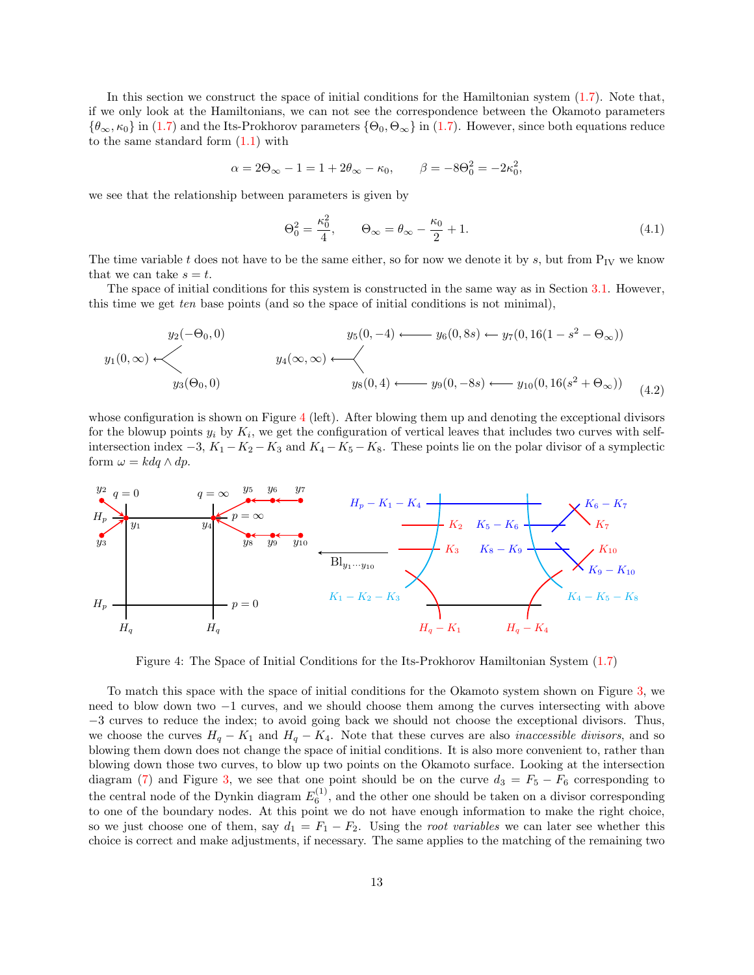In this section we construct the space of initial conditions for the Hamiltonian system [\(1.7\)](#page-1-5). Note that, if we only look at the Hamiltonians, we can not see the correspondence between the Okamoto parameters  $\{\theta_{\infty}, \kappa_0\}$  in [\(1.7\)](#page-1-5) and the Its-Prokhorov parameters  $\{\Theta_0, \Theta_{\infty}\}\$  in (1.7). However, since both equations reduce to the same standard form  $(1.1)$  with

$$
\alpha = 2\Theta_{\infty} - 1 = 1 + 2\theta_{\infty} - \kappa_0, \qquad \beta = -8\Theta_0^2 = -2\kappa_0^2,
$$

we see that the relationship between parameters is given by

<span id="page-12-1"></span>
$$
\Theta_0^2 = \frac{\kappa_0^2}{4}, \qquad \Theta_\infty = \theta_\infty - \frac{\kappa_0}{2} + 1. \tag{4.1}
$$

The time variable t does not have to be the same either, so for now we denote it by s, but from  $P_{IV}$  we know that we can take  $s = t$ .

The space of initial conditions for this system is constructed in the same way as in Section [3.1.](#page-7-1) However, this time we get ten base points (and so the space of initial conditions is not minimal),

$$
y_1(0,\infty) \longleftarrow y_2(-\Theta_0,0)
$$
\n
$$
y_4(\infty,\infty) \longleftarrow y_5(0,-4) \longleftarrow y_6(0,8s) \longleftarrow y_7(0,16(1-s^2-\Theta_\infty))
$$
\n
$$
y_4(\infty,\infty) \longleftarrow y_8(0,4) \longleftarrow y_9(0,-8s) \longleftarrow y_{10}(0,16(s^2+\Theta_\infty))
$$
\n
$$
(4.2)
$$

whose configuration is shown on Figure [4](#page-12-0) (left). After blowing them up and denoting the exceptional divisors for the blowup points  $y_i$  by  $K_i$ , we get the configuration of vertical leaves that includes two curves with selfintersection index  $-3$ ,  $K_1 - K_2 - K_3$  and  $K_4 - K_5 - K_8$ . These points lie on the polar divisor of a symplectic form  $\omega = k dq \wedge dp$ .



<span id="page-12-0"></span>Figure 4: The Space of Initial Conditions for the Its-Prokhorov Hamiltonian System [\(1.7\)](#page-1-5)

To match this space with the space of initial conditions for the Okamoto system shown on Figure [3,](#page-8-1) we need to blow down two −1 curves, and we should choose them among the curves intersecting with above −3 curves to reduce the index; to avoid going back we should not choose the exceptional divisors. Thus, we choose the curves  $H_q - K_1$  and  $H_q - K_4$ . Note that these curves are also *inaccessible divisors*, and so blowing them down does not change the space of initial conditions. It is also more convenient to, rather than blowing down those two curves, to blow up two points on the Okamoto surface. Looking at the intersection diagram [\(7\)](#page-21-1) and Figure [3,](#page-8-1) we see that one point should be on the curve  $d_3 = F_5 - F_6$  corresponding to the central node of the Dynkin diagram  $E_6^{(1)}$ , and the other one should be taken on a divisor corresponding to one of the boundary nodes. At this point we do not have enough information to make the right choice, so we just choose one of them, say  $d_1 = F_1 - F_2$ . Using the *root variables* we can later see whether this choice is correct and make adjustments, if necessary. The same applies to the matching of the remaining two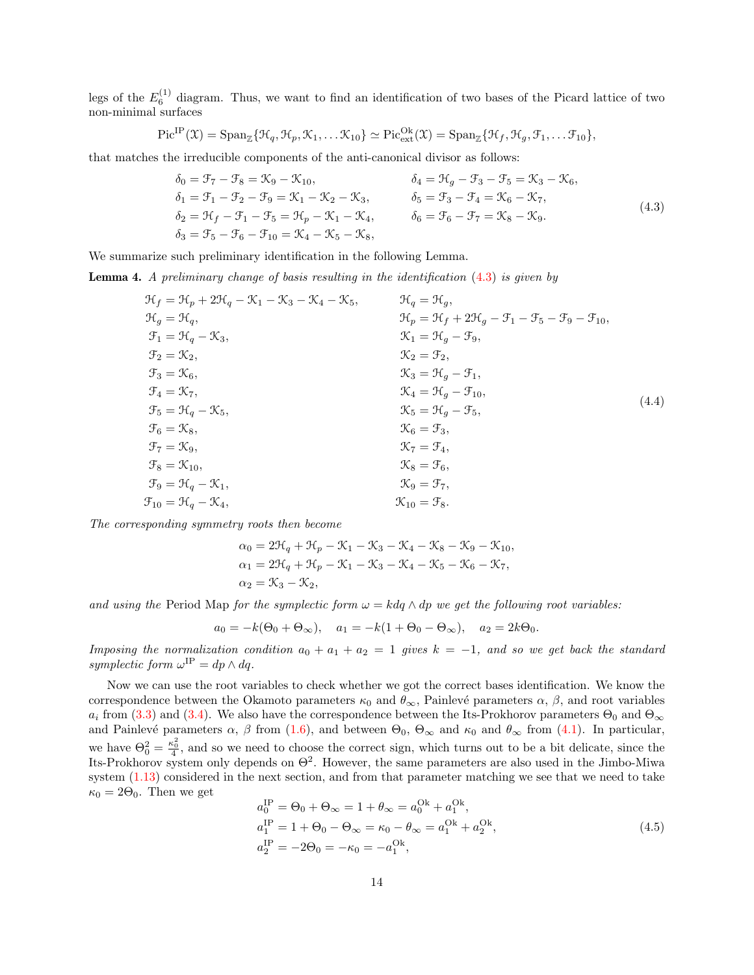legs of the  $E_6^{(1)}$  diagram. Thus, we want to find an identification of two bases of the Picard lattice of two non-minimal surfaces

$$
\mathrm{Pic}^{\mathrm{IP}}(\mathfrak{X}) = \mathrm{Span}_{\mathbb{Z}}\{\mathfrak{H}_q, \mathfrak{K}_p, \mathfrak{K}_1, \dots \mathfrak{K}_{10}\} \simeq \mathrm{Pic}^{\mathrm{Ok}}_{\mathrm{ext}}(\mathfrak{X}) = \mathrm{Span}_{\mathbb{Z}}\{\mathfrak{H}_f, \mathfrak{H}_g, \mathfrak{F}_1, \dots \mathfrak{F}_{10}\},
$$

that matches the irreducible components of the anti-canonical divisor as follows:

<span id="page-13-0"></span>
$$
\delta_0 = \mathcal{F}_7 - \mathcal{F}_8 = \mathcal{K}_9 - \mathcal{K}_{10}, \qquad \delta_4 = \mathcal{H}_g - \mathcal{F}_3 - \mathcal{F}_5 = \mathcal{K}_3 - \mathcal{K}_6, \n\delta_1 = \mathcal{F}_1 - \mathcal{F}_2 - \mathcal{F}_9 = \mathcal{K}_1 - \mathcal{K}_2 - \mathcal{K}_3, \qquad \delta_5 = \mathcal{F}_3 - \mathcal{F}_4 = \mathcal{K}_6 - \mathcal{K}_7, \n\delta_2 = \mathcal{H}_f - \mathcal{F}_1 - \mathcal{F}_5 = \mathcal{H}_p - \mathcal{K}_1 - \mathcal{K}_4, \qquad \delta_6 = \mathcal{F}_6 - \mathcal{F}_7 = \mathcal{K}_8 - \mathcal{K}_9.
$$
\n
$$
\delta_3 = \mathcal{F}_5 - \mathcal{F}_6 - \mathcal{F}_{10} = \mathcal{K}_4 - \mathcal{K}_5 - \mathcal{K}_8,
$$
\n(4.3)

We summarize such preliminary identification in the following Lemma.

Lemma 4. A preliminary change of basis resulting in the identification [\(4.3\)](#page-13-0) is given by

<span id="page-13-1"></span>
$$
\mathcal{H}_{f} = \mathcal{H}_{p} + 2\mathcal{H}_{q} - \mathcal{K}_{1} - \mathcal{K}_{3} - \mathcal{K}_{4} - \mathcal{K}_{5}, \qquad \mathcal{H}_{q} = \mathcal{H}_{g}, \n\mathcal{H}_{g} = \mathcal{H}_{q}, \qquad \mathcal{H}_{p} = \mathcal{H}_{f} + 2\mathcal{H}_{g} - \mathcal{F}_{1} - \mathcal{F}_{5} - \mathcal{F}_{9} - \mathcal{F}_{10}, \n\mathcal{F}_{1} = \mathcal{H}_{q} - \mathcal{K}_{3}, \qquad \mathcal{K}_{1} = \mathcal{H}_{g} - \mathcal{F}_{9}, \n\mathcal{F}_{2} = \mathcal{K}_{2}, \qquad \mathcal{K}_{2} = \mathcal{F}_{2}, \n\mathcal{F}_{3} = \mathcal{K}_{6}, \qquad \mathcal{K}_{3} = \mathcal{H}_{g} - \mathcal{F}_{1}, \n\mathcal{F}_{4} = \mathcal{K}_{7}, \qquad \mathcal{K}_{4} = \mathcal{H}_{g} - \mathcal{F}_{10}, \n\mathcal{F}_{5} = \mathcal{H}_{q} - \mathcal{K}_{5}, \qquad \mathcal{K}_{6} = \mathcal{F}_{3}, \n\mathcal{F}_{6} = \mathcal{K}_{8}, \qquad \mathcal{K}_{6} = \mathcal{F}_{3}, \n\mathcal{F}_{7} = \mathcal{K}_{9}, \qquad \mathcal{K}_{8} = \mathcal{F}_{6}, \n\mathcal{F}_{9} = \mathcal{H}_{q} - \mathcal{K}_{1}, \qquad \mathcal{K}_{8} = \mathcal{F}_{6}, \n\mathcal{F}_{9} = \mathcal{H}_{q} - \mathcal{K}_{4}, \qquad \mathcal{K}_{10} = \mathcal{F}_{8}.
$$
\n(A.4)

The corresponding symmetry roots then become

$$
\alpha_0 = 2\mathcal{H}_q + \mathcal{H}_p - \mathcal{K}_1 - \mathcal{K}_3 - \mathcal{K}_4 - \mathcal{K}_8 - \mathcal{K}_9 - \mathcal{K}_{10},
$$
  
\n
$$
\alpha_1 = 2\mathcal{H}_q + \mathcal{H}_p - \mathcal{K}_1 - \mathcal{K}_3 - \mathcal{K}_4 - \mathcal{K}_5 - \mathcal{K}_6 - \mathcal{K}_7,
$$
  
\n
$$
\alpha_2 = \mathcal{K}_3 - \mathcal{K}_2,
$$

and using the Period Map for the symplectic form  $\omega = k dq \wedge dp$  we get the following root variables:

 $a_0 = -k(\Theta_0 + \Theta_\infty), \quad a_1 = -k(1 + \Theta_0 - \Theta_\infty), \quad a_2 = 2k\Theta_0.$ 

Imposing the normalization condition  $a_0 + a_1 + a_2 = 1$  gives  $k = -1$ , and so we get back the standard symplectic form  $\omega^{\text{IP}} = dp \wedge dq$ .

Now we can use the root variables to check whether we got the correct bases identification. We know the correspondence between the Okamoto parameters  $\kappa_0$  and  $\theta_{\infty}$ , Painlevé parameters  $\alpha$ ,  $\beta$ , and root variables  $a_i$  from [\(3.3\)](#page-9-1) and [\(3.4\)](#page-9-2). We also have the correspondence between the Its-Prokhorov parameters  $\Theta_0$  and  $\Theta_\infty$ and Painlevé parameters  $\alpha$ ,  $\beta$  from [\(1.6\)](#page-1-4), and between  $\Theta_0$ ,  $\Theta_{\infty}$  and  $\kappa_0$  and  $\theta_{\infty}$  from [\(4.1\)](#page-12-1). In particular, we have  $\Theta_0^2 = \frac{\kappa_0^2}{4}$ , and so we need to choose the correct sign, which turns out to be a bit delicate, since the Its-Prokhorov system only depends on  $\Theta^2$ . However, the same parameters are also used in the Jimbo-Miwa system  $(1.13)$  considered in the next section, and from that parameter matching we see that we need to take  $\kappa_0 = 2\Theta_0$ . Then we get

$$
a_0^{\text{IP}} = \Theta_0 + \Theta_\infty = 1 + \theta_\infty = a_0^{\text{Ok}} + a_1^{\text{Ok}},
$$
  
\n
$$
a_1^{\text{IP}} = 1 + \Theta_0 - \Theta_\infty = \kappa_0 - \theta_\infty = a_1^{\text{Ok}} + a_2^{\text{Ok}},
$$
  
\n
$$
a_2^{\text{IP}} = -2\Theta_0 = -\kappa_0 = -a_1^{\text{Ok}},
$$
\n(4.5)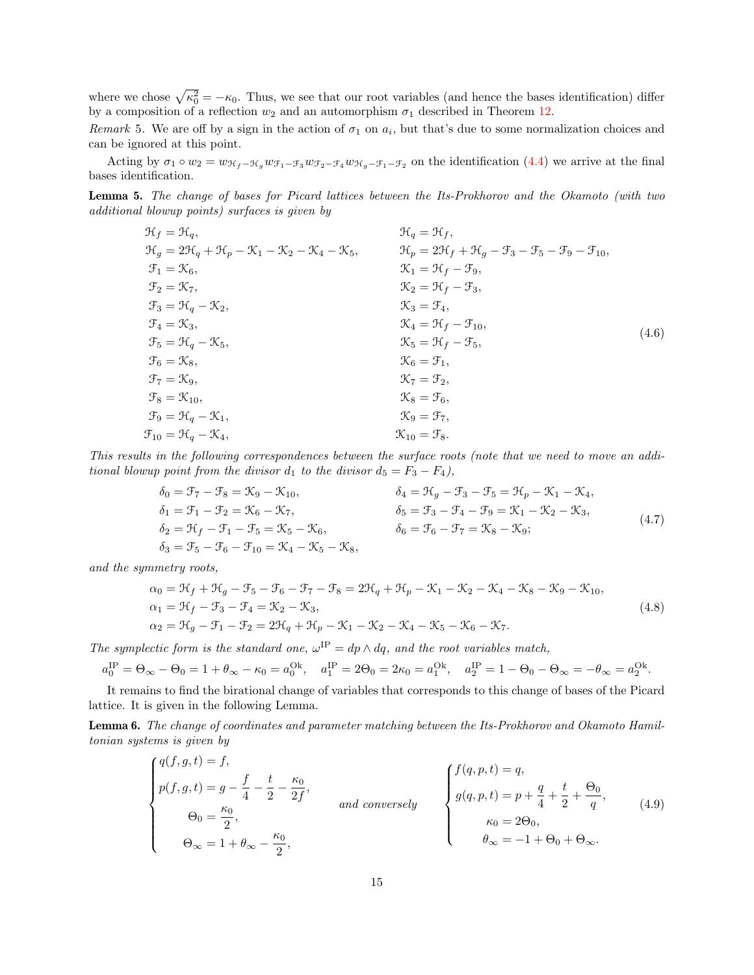where we chose  $\sqrt{\kappa_0^2} = -\kappa_0$ . Thus, we see that our root variables (and hence the bases identification) differ by a composition of a reflection  $w_2$  and an automorphism  $\sigma_1$  described in Theorem [12.](#page-23-0)

Remark 5. We are off by a sign in the action of  $\sigma_1$  on  $a_i$ , but that's due to some normalization choices and can be ignored at this point.

Acting by  $\sigma_1 \circ w_2 = w_{\mathcal{H}_f - \mathcal{H}_g} w_{\mathcal{H}_1 - \mathcal{H}_3} w_{\mathcal{H}_2 - \mathcal{H}_4} w_{\mathcal{H}_g - \mathcal{H}_1 - \mathcal{H}_2}$  on the identification [\(4.4\)](#page-13-1) we arrive at the final bases identification.

Lemma 5. The change of bases for Picard lattices between the Its-Prokhorov and the Okamoto (with two additional blowup points) surfaces is given by

$$
\mathcal{H}_{f} = \mathcal{H}_{q}, \qquad \mathcal{H}_{g} = 2\mathcal{H}_{q} + \mathcal{H}_{p} - \mathcal{K}_{1} - \mathcal{K}_{2} - \mathcal{K}_{4} - \mathcal{K}_{5}, \qquad \mathcal{H}_{p} = 2\mathcal{H}_{f} + \mathcal{H}_{g} - \mathcal{F}_{3} - \mathcal{F}_{5} - \mathcal{F}_{9} - \mathcal{F}_{10}, \n\mathcal{F}_{1} = \mathcal{K}_{6}, \qquad \mathcal{K}_{1} = \mathcal{H}_{f} - \mathcal{F}_{9}, \n\mathcal{F}_{2} = \mathcal{K}_{7}, \qquad \mathcal{K}_{2} = \mathcal{H}_{f} - \mathcal{F}_{3}, \n\mathcal{F}_{3} = \mathcal{H}_{q} - \mathcal{K}_{2}, \qquad \mathcal{K}_{3} = \mathcal{F}_{4}, \n\mathcal{F}_{4} = \mathcal{K}_{3}, \qquad \mathcal{K}_{4} = \mathcal{H}_{f} - \mathcal{F}_{10}, \n\mathcal{F}_{5} = \mathcal{H}_{q} - \mathcal{K}_{5}, \qquad \mathcal{K}_{6} = \mathcal{F}_{1}, \n\mathcal{F}_{6} = \mathcal{K}_{8}, \qquad \mathcal{K}_{6} = \mathcal{F}_{1}, \n\mathcal{F}_{7} = \mathcal{K}_{9}, \qquad \mathcal{K}_{8} = \mathcal{F}_{6}, \n\mathcal{F}_{9} = \mathcal{H}_{q} - \mathcal{K}_{1}, \qquad \mathcal{K}_{9} = \mathcal{F}_{7}, \n\mathcal{F}_{10} = \mathcal{H}_{q} - \mathcal{K}_{4}, \qquad \mathcal{K}_{10} = \mathcal{F}_{8}.
$$
\n(A.6)

This results in the following correspondences between the surface roots (note that we need to move an additional blowup point from the divisor  $d_1$  to the divisor  $d_5 = F_3 - F_4$ ),

$$
\delta_0 = \mathcal{F}_7 - \mathcal{F}_8 = \mathcal{K}_9 - \mathcal{K}_{10}, \qquad \delta_4 = \mathcal{H}_g - \mathcal{F}_3 - \mathcal{F}_5 = \mathcal{H}_p - \mathcal{K}_1 - \mathcal{K}_4, \n\delta_1 = \mathcal{F}_1 - \mathcal{F}_2 = \mathcal{K}_6 - \mathcal{K}_7, \qquad \delta_5 = \mathcal{F}_3 - \mathcal{F}_4 - \mathcal{F}_9 = \mathcal{K}_1 - \mathcal{K}_2 - \mathcal{K}_3, \n\delta_2 = \mathcal{H}_f - \mathcal{F}_1 - \mathcal{F}_5 = \mathcal{K}_5 - \mathcal{K}_6, \qquad \delta_6 = \mathcal{F}_6 - \mathcal{F}_7 = \mathcal{K}_8 - \mathcal{K}_9; \n\delta_3 = \mathcal{F}_5 - \mathcal{F}_6 - \mathcal{F}_{10} = \mathcal{K}_4 - \mathcal{K}_5 - \mathcal{K}_8,
$$
\n(4.7)

and the symmetry roots,

$$
\alpha_0 = \mathcal{H}_f + \mathcal{H}_g - \mathcal{F}_5 - \mathcal{F}_6 - \mathcal{F}_7 - \mathcal{F}_8 = 2\mathcal{H}_q + \mathcal{H}_p - \mathcal{K}_1 - \mathcal{K}_2 - \mathcal{K}_4 - \mathcal{K}_8 - \mathcal{K}_9 - \mathcal{K}_{10},
$$
  
\n
$$
\alpha_1 = \mathcal{H}_f - \mathcal{F}_3 - \mathcal{F}_4 = \mathcal{K}_2 - \mathcal{K}_3,
$$
  
\n
$$
\alpha_2 = \mathcal{H}_g - \mathcal{F}_1 - \mathcal{F}_2 = 2\mathcal{H}_q + \mathcal{H}_p - \mathcal{K}_1 - \mathcal{K}_2 - \mathcal{K}_4 - \mathcal{K}_5 - \mathcal{K}_6 - \mathcal{K}_7.
$$
\n(4.8)

The symplectic form is the standard one,  $\omega^{\text{IP}} = dp \wedge dq$ , and the root variables match,

$$
a_0^{\text{IP}} = \Theta_{\infty} - \Theta_0 = 1 + \theta_{\infty} - \kappa_0 = a_0^{\text{Ok}}, \quad a_1^{\text{IP}} = 2\Theta_0 = 2\kappa_0 = a_1^{\text{Ok}}, \quad a_2^{\text{IP}} = 1 - \Theta_0 - \Theta_{\infty} = -\theta_{\infty} = a_2^{\text{Ok}}.
$$

It remains to find the birational change of variables that corresponds to this change of bases of the Picard lattice. It is given in the following Lemma.

<span id="page-14-0"></span>Lemma 6. The change of coordinates and parameter matching between the Its-Prokhorov and Okamoto Hamiltonian systems is given by

$$
\begin{cases}\nq(f,g,t) = f, \\
p(f,g,t) = g - \frac{f}{4} - \frac{t}{2} - \frac{\kappa_0}{2f}, \\
\Theta_0 = \frac{\kappa_0}{2}, \\
\Theta_{\infty} = 1 + \theta_{\infty} - \frac{\kappa_0}{2},\n\end{cases}
$$
\nand conversely\n
$$
\begin{cases}\nf(q,p,t) = q, \\
g(q,p,t) = p + \frac{q}{4} + \frac{t}{2} + \frac{\Theta_0}{q}, \\
\kappa_0 = 2\Theta_0, \\
\theta_{\infty} = -1 + \Theta_0 + \Theta_{\infty}.\n\end{cases}
$$
\n(4.9)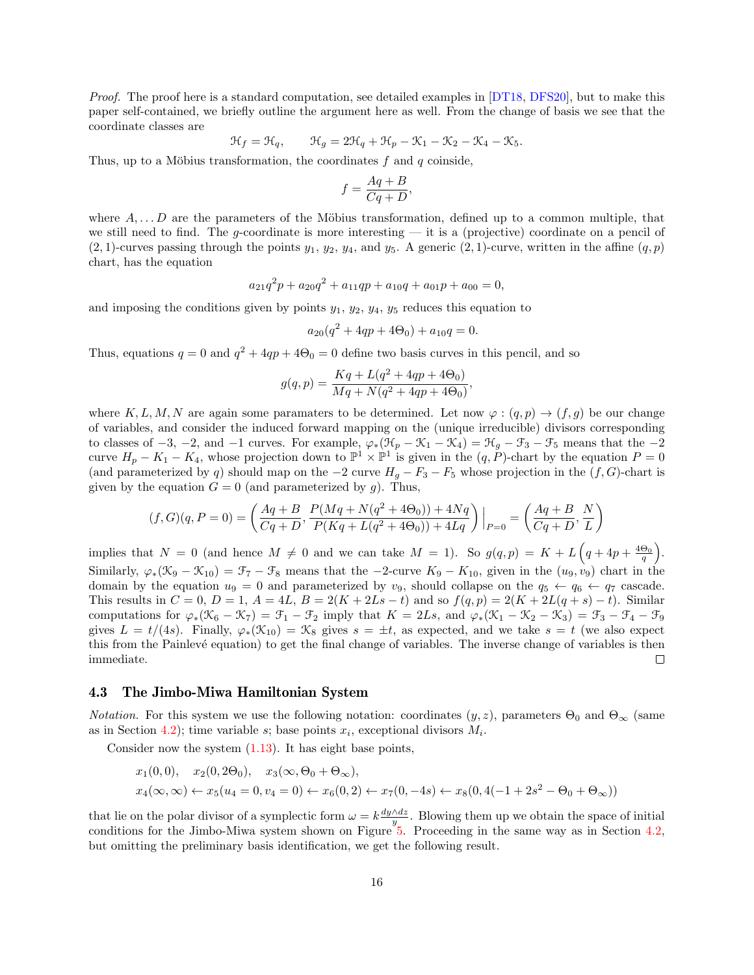Proof. The proof here is a standard computation, see detailed examples in [\[DT18,](#page-24-10) [DFS20\]](#page-24-2), but to make this paper self-contained, we briefly outline the argument here as well. From the change of basis we see that the coordinate classes are

$$
\mathcal{H}_f=\mathcal{H}_q,\qquad \mathcal{H}_g=2\mathcal{H}_q+\mathcal{H}_p-\mathcal{K}_1-\mathcal{K}_2-\mathcal{K}_4-\mathcal{K}_5.
$$

Thus, up to a Möbius transformation, the coordinates  $f$  and  $q$  coinside,

$$
f = \frac{Aq + B}{Cq + D},
$$

where  $A, \ldots, D$  are the parameters of the Möbius transformation, defined up to a common multiple, that we still need to find. The q-coordinate is more interesting  $-$  it is a (projective) coordinate on a pencil of  $(2, 1)$ -curves passing through the points  $y_1, y_2, y_4$ , and  $y_5$ . A generic  $(2, 1)$ -curve, written in the affine  $(q, p)$ chart, has the equation

$$
a_{21}q^2p + a_{20}q^2 + a_{11}qp + a_{10}q + a_{01}p + a_{00} = 0,
$$

and imposing the conditions given by points  $y_1, y_2, y_4, y_5$  reduces this equation to

$$
a_{20}(q^2 + 4qp + 4\Theta_0) + a_{10}q = 0.
$$

Thus, equations  $q = 0$  and  $q^2 + 4qp + 4\Theta_0 = 0$  define two basis curves in this pencil, and so

$$
g(q,p) = \frac{Kq + L(q^2 + 4qp + 4\Theta_0)}{Mq + N(q^2 + 4qp + 4\Theta_0)},
$$

where K, L, M, N are again some paramaters to be determined. Let now  $\varphi: (q, p) \to (f, g)$  be our change of variables, and consider the induced forward mapping on the (unique irreducible) divisors corresponding to classes of  $-3$ ,  $-2$ , and  $-1$  curves. For example,  $\varphi_*(\mathcal{H}_p - \mathcal{K}_1 - \mathcal{K}_4) = \mathcal{H}_g - \mathcal{F}_3 - \mathcal{F}_5$  means that the  $-2$ curve  $H_p - K_1 - K_4$ , whose projection down to  $\mathbb{P}^1 \times \mathbb{P}^1$  is given in the  $(q, P)$ -chart by the equation  $P = 0$ (and parameterized by q) should map on the  $-2$  curve  $H_g - F_3 - F_5$  whose projection in the  $(f, G)$ -chart is given by the equation  $G = 0$  (and parameterized by g). Thus,

$$
(f,G)(q,P=0)=\left(\frac{Aq+B}{Cq+D},\frac{P(Mq+N(q^2+4\Theta_0))+4Nq}{P(Kq+L(q^2+4\Theta_0))+4Lq}\right)\Big|_{P=0}=\left(\frac{Aq+B}{Cq+D},\frac{N}{L}\right)
$$

implies that  $N = 0$  (and hence  $M \neq 0$  and we can take  $M = 1$ ). So  $g(q, p) = K + L\left(q + 4p + \frac{4\Theta_0}{q}\right)$ . Similarly,  $\varphi_*(\mathfrak{K}_9 - \mathfrak{K}_{10}) = \mathfrak{F}_7 - \mathfrak{F}_8$  means that the  $-2$ -curve  $K_9 - K_{10}$ , given in the  $(u_9, v_9)$  chart in the domain by the equation  $u_9 = 0$  and parameterized by  $v_9$ , should collapse on the  $q_5 \leftarrow q_6 \leftarrow q_7$  cascade. This results in  $C = 0$ ,  $D = 1$ ,  $A = 4L$ ,  $B = 2(K + 2Ls - t)$  and so  $f(q, p) = 2(K + 2L(q + s) - t)$ . Similar computations for  $\varphi_*(\mathfrak{K}_6 - \mathfrak{K}_7) = \mathfrak{F}_1 - \mathfrak{F}_2$  imply that  $K = 2Ls$ , and  $\varphi_*(\mathfrak{K}_1 - \mathfrak{K}_2 - \mathfrak{K}_3) = \mathfrak{F}_3 - \mathfrak{F}_4 - \mathfrak{F}_9$ gives  $L = t/(4s)$ . Finally,  $\varphi_*(\mathcal{K}_{10}) = \mathcal{K}_8$  gives  $s = \pm t$ , as expected, and we take  $s = t$  (we also expect this from the Painlev´e equation) to get the final change of variables. The inverse change of variables is then immediate.  $\Box$ 

#### <span id="page-15-0"></span>4.3 The Jimbo-Miwa Hamiltonian System

*Notation.* For this system we use the following notation: coordinates  $(y, z)$ , parameters  $\Theta_0$  and  $\Theta_\infty$  (same as in Section [4.2\)](#page-11-0); time variable s; base points  $x_i$ , exceptional divisors  $M_i$ .

Consider now the system  $(1.13)$ . It has eight base points,

$$
x_1(0,0)
$$
,  $x_2(0,2\Theta_0)$ ,  $x_3(\infty,\Theta_0+\Theta_\infty)$ ,  
\n $x_4(\infty,\infty) \leftarrow x_5(u_4=0, v_4=0) \leftarrow x_6(0,2) \leftarrow x_7(0,-4s) \leftarrow x_8(0,4(-1+2s^2-\Theta_0+\Theta_\infty))$ 

that lie on the polar divisor of a symplectic form  $\omega = k \frac{dy \wedge dz}{u}$ . Blowing them up we obtain the space of initial conditions for the Jimbo-Miwa system shown on Figure [5.](#page-16-0) Proceeding in the same way as in Section [4.2,](#page-11-0) but omitting the preliminary basis identification, we get the following result.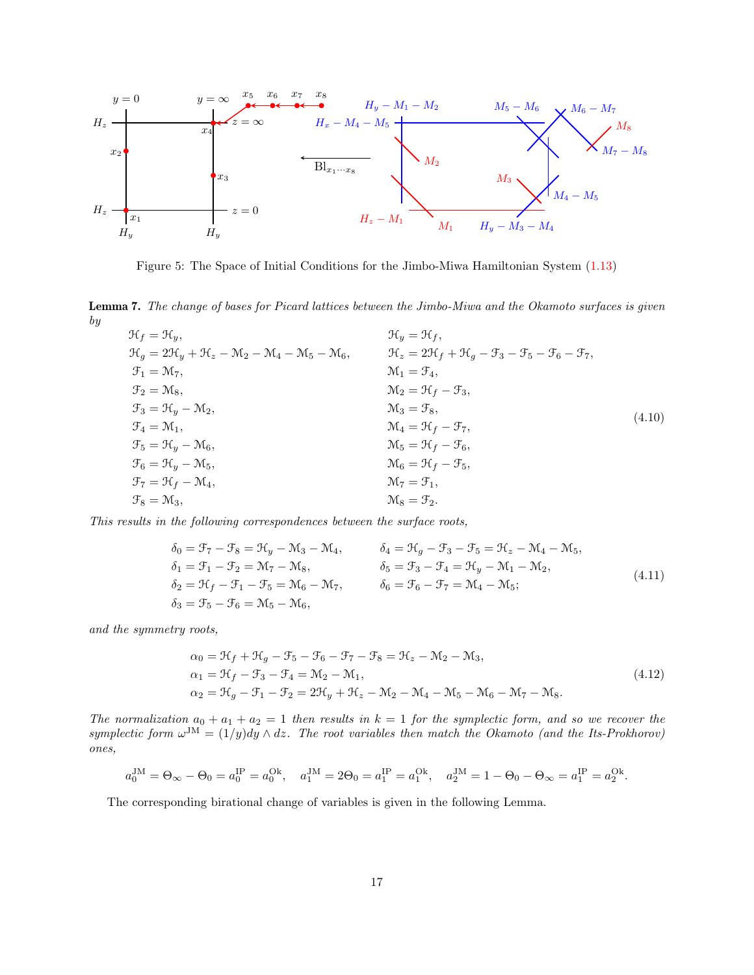

<span id="page-16-0"></span>Figure 5: The Space of Initial Conditions for the Jimbo-Miwa Hamiltonian System [\(1.13\)](#page-2-2)

<span id="page-16-1"></span>Lemma 7. The change of bases for Picard lattices between the Jimbo-Miwa and the Okamoto surfaces is given by

| $\mathcal{H}_f = \mathcal{H}_u,$                                                                                  | $\mathcal{H}_u = \mathcal{H}_f,$                                                                                  |        |
|-------------------------------------------------------------------------------------------------------------------|-------------------------------------------------------------------------------------------------------------------|--------|
| $\mathcal{H}_q = 2\mathcal{H}_q + \mathcal{H}_z - \mathcal{M}_2 - \mathcal{M}_4 - \mathcal{M}_5 - \mathcal{M}_6,$ | $\mathcal{H}_z = 2\mathcal{H}_f + \mathcal{H}_q - \mathcal{F}_3 - \mathcal{F}_5 - \mathcal{F}_6 - \mathcal{F}_7,$ |        |
| $\mathfrak{F}_1 = \mathfrak{M}_7,$                                                                                | $\mathcal{M}_1 = \mathcal{F}_4,$                                                                                  |        |
| $\mathfrak{F}_2 = \mathfrak{M}_8,$                                                                                | $\mathcal{M}_2 = \mathcal{H}_f - \mathcal{F}_3,$                                                                  |        |
| $\mathfrak{F}_3 = \mathfrak{H}_y - \mathfrak{M}_2,$                                                               | $\mathcal{M}_3 = \mathcal{F}_8,$                                                                                  |        |
| $\mathfrak{F}_4 = \mathfrak{M}_1,$                                                                                | $\mathcal{M}_4 = \mathcal{H}_f - \mathcal{F}_7,$                                                                  | (4.10) |
| $\mathfrak{F}_5 = \mathfrak{H}_y - \mathfrak{M}_6,$                                                               | $\mathcal{M}_5 = \mathcal{H}_f - \mathcal{F}_6,$                                                                  |        |
| $\mathfrak{F}_6 = \mathfrak{H}_u - \mathfrak{M}_5,$                                                               | $\mathcal{M}_6 = \mathcal{H}_f - \mathcal{F}_5,$                                                                  |        |
| $\mathfrak{F}_7 = \mathfrak{H}_f - \mathfrak{M}_4,$                                                               | $\mathcal{M}_7 = \mathcal{F}_1$ .                                                                                 |        |
| $\mathfrak{F}_8 = \mathfrak{M}_3,$                                                                                | $\mathcal{M}_8 = \mathcal{F}_2$ .                                                                                 |        |

This results in the following correspondences between the surface roots,

$$
\delta_0 = \mathcal{F}_7 - \mathcal{F}_8 = \mathcal{H}_y - \mathcal{M}_3 - \mathcal{M}_4, \qquad \delta_4 = \mathcal{H}_g - \mathcal{F}_3 - \mathcal{F}_5 = \mathcal{H}_z - \mathcal{M}_4 - \mathcal{M}_5, \n\delta_1 = \mathcal{F}_1 - \mathcal{F}_2 = \mathcal{M}_7 - \mathcal{M}_8, \qquad \delta_5 = \mathcal{F}_3 - \mathcal{F}_4 = \mathcal{H}_y - \mathcal{M}_1 - \mathcal{M}_2, \n\delta_2 = \mathcal{H}_f - \mathcal{F}_1 - \mathcal{F}_5 = \mathcal{M}_6 - \mathcal{M}_7, \qquad \delta_6 = \mathcal{F}_6 - \mathcal{F}_7 = \mathcal{M}_4 - \mathcal{M}_5; \n\delta_3 = \mathcal{F}_5 - \mathcal{F}_6 = \mathcal{M}_5 - \mathcal{M}_6,
$$
\n(4.11)

and the symmetry roots,

$$
\alpha_0 = \mathcal{H}_f + \mathcal{H}_g - \mathcal{F}_5 - \mathcal{F}_6 - \mathcal{F}_7 - \mathcal{F}_8 = \mathcal{H}_z - \mathcal{M}_2 - \mathcal{M}_3,\n\alpha_1 = \mathcal{H}_f - \mathcal{F}_3 - \mathcal{F}_4 = \mathcal{M}_2 - \mathcal{M}_1,\n\alpha_2 = \mathcal{H}_g - \mathcal{F}_1 - \mathcal{F}_2 = 2\mathcal{H}_y + \mathcal{H}_z - \mathcal{M}_2 - \mathcal{M}_4 - \mathcal{M}_5 - \mathcal{M}_6 - \mathcal{M}_7 - \mathcal{M}_8.
$$
\n(4.12)

The normalization  $a_0 + a_1 + a_2 = 1$  then results in  $k = 1$  for the symplectic form, and so we recover the symplectic form  $\omega^{JM} = (1/y)dy \wedge dz$ . The root variables then match the Okamoto (and the Its-Prokhorov) ones,

$$
a_0^{JM} = \Theta_{\infty} - \Theta_0 = a_0^{IP} = a_0^{Ok}, \quad a_1^{JM} = 2\Theta_0 = a_1^{IP} = a_1^{Ok}, \quad a_2^{JM} = 1 - \Theta_0 - \Theta_{\infty} = a_1^{IP} = a_2^{Ok}.
$$

The corresponding birational change of variables is given in the following Lemma.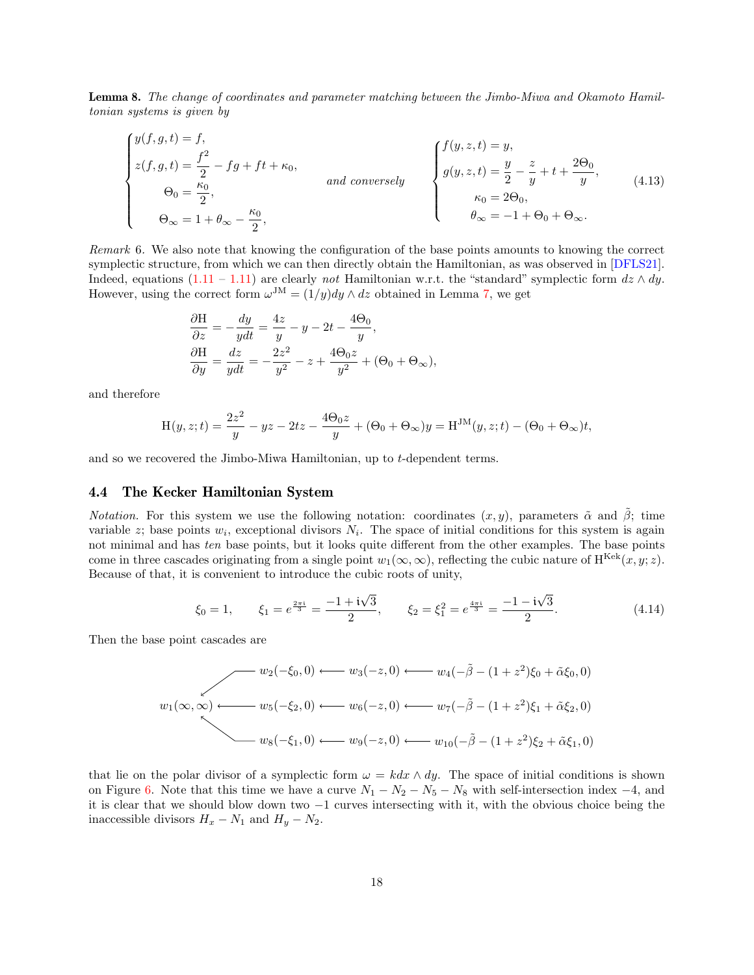<span id="page-17-0"></span>Lemma 8. The change of coordinates and parameter matching between the Jimbo-Miwa and Okamoto Hamiltonian systems is given by

$$
\begin{cases}\ny(f,g,t) = f, \\
z(f,g,t) = \frac{f^2}{2} - fg + ft + \kappa_0, \\
\Theta_0 = \frac{\kappa_0}{2}, \\
\Theta_{\infty} = 1 + \theta_{\infty} - \frac{\kappa_0}{2},\n\end{cases}\n\quad and conversely\n\begin{cases}\nf(y,z,t) = y, \\
g(y,z,t) = \frac{y}{2} - \frac{z}{y} + t + \frac{2\Theta_0}{y}, \\
\kappa_0 = 2\Theta_0, \\
\theta_{\infty} = -1 + \Theta_0 + \Theta_{\infty}.\n\end{cases}\n\tag{4.13}
$$

Remark 6. We also note that knowing the configuration of the base points amounts to knowing the correct symplectic structure, from which we can then directly obtain the Hamiltonian, as was observed in [\[DFLS21\]](#page-24-11). Indeed, equations  $(1.11 - 1.11)$  $(1.11 - 1.11)$  $(1.11 - 1.11)$  are clearly not Hamiltonian w.r.t. the "standard" symplectic form  $dz \wedge dy$ . However, using the correct form  $\omega^{JM} = (1/y)dy \wedge dz$  obtained in Lemma [7,](#page-16-1) we get

$$
\frac{\partial \mathbf{H}}{\partial z} = -\frac{dy}{ydt} = \frac{4z}{y} - y - 2t - \frac{4\Theta_0}{y},
$$
  

$$
\frac{\partial \mathbf{H}}{\partial y} = \frac{dz}{ydt} = -\frac{2z^2}{y^2} - z + \frac{4\Theta_0 z}{y^2} + (\Theta_0 + \Theta_\infty),
$$

and therefore

$$
H(y, z; t) = \frac{2z^2}{y} - yz - 2tz - \frac{4\Theta_0 z}{y} + (\Theta_0 + \Theta_\infty)y = H^{JM}(y, z; t) - (\Theta_0 + \Theta_\infty)t,
$$

and so we recovered the Jimbo-Miwa Hamiltonian, up to t-dependent terms.

#### <span id="page-17-1"></span>4.4 The Kecker Hamiltonian System

*Notation.* For this system we use the following notation: coordinates  $(x, y)$ , parameters  $\tilde{\alpha}$  and  $\beta$ ; time variable z; base points  $w_i$ , exceptional divisors  $N_i$ . The space of initial conditions for this system is again not minimal and has ten base points, but it looks quite different from the other examples. The base points come in three cascades originating from a single point  $w_1(\infty, \infty)$ , reflecting the cubic nature of H<sup>Kek</sup> $(x, y; z)$ . Because of that, it is convenient to introduce the cubic roots of unity,

<span id="page-17-2"></span>
$$
\xi_0 = 1,
$$
  $\xi_1 = e^{\frac{2\pi i}{3}} = \frac{-1 + i\sqrt{3}}{2},$   $\xi_2 = \xi_1^2 = e^{\frac{4\pi i}{3}} = \frac{-1 - i\sqrt{3}}{2}.$  (4.14)

Then the base point cascades are

$$
w_2(-\xi_0, 0) \longleftarrow w_3(-z, 0) \longleftarrow w_4(-\tilde{\beta} - (1 + z^2)\xi_0 + \tilde{\alpha}\xi_0, 0)
$$
  

$$
w_1(\infty, \infty) \longleftarrow w_5(-\xi_2, 0) \longleftarrow w_6(-z, 0) \longleftarrow w_7(-\tilde{\beta} - (1 + z^2)\xi_1 + \tilde{\alpha}\xi_2, 0)
$$
  

$$
w_8(-\xi_1, 0) \longleftarrow w_9(-z, 0) \longleftarrow w_{10}(-\tilde{\beta} - (1 + z^2)\xi_2 + \tilde{\alpha}\xi_1, 0)
$$

that lie on the polar divisor of a symplectic form  $\omega = k dx \wedge dy$ . The space of initial conditions is shown on Figure [6.](#page-18-0) Note that this time we have a curve  $N_1 - N_2 - N_5 - N_8$  with self-intersection index -4, and it is clear that we should blow down two −1 curves intersecting with it, with the obvious choice being the inaccessible divisors  $H_x - N_1$  and  $H_y - N_2$ .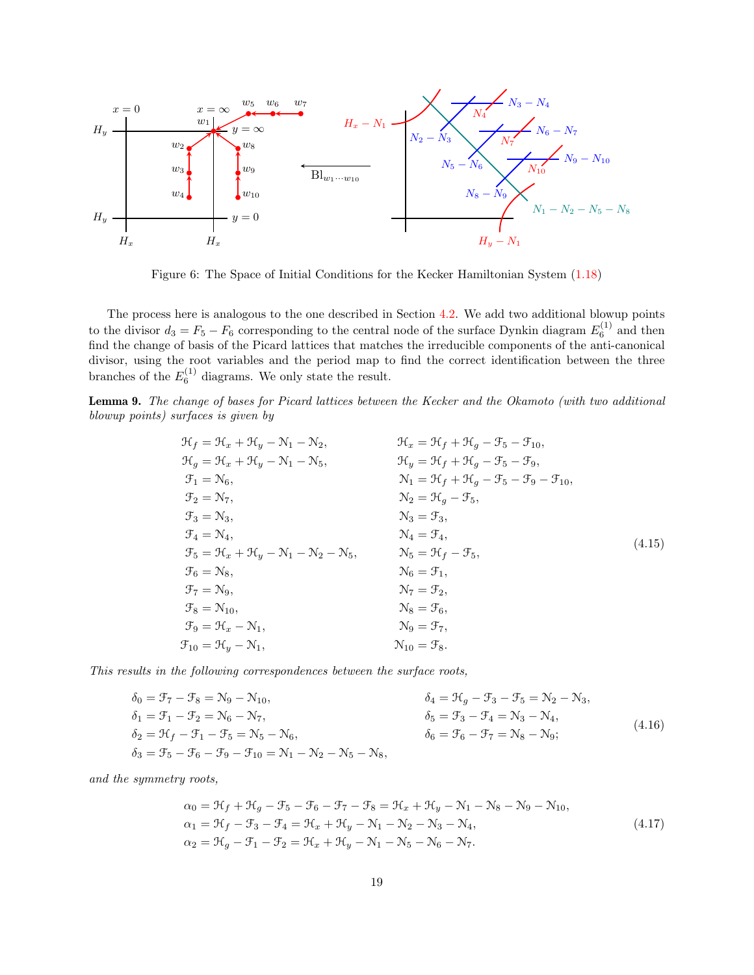

<span id="page-18-0"></span>Figure 6: The Space of Initial Conditions for the Kecker Hamiltonian System [\(1.18\)](#page-3-0)

The process here is analogous to the one described in Section [4.2.](#page-11-0) We add two additional blowup points to the divisor  $d_3 = F_5 - F_6$  corresponding to the central node of the surface Dynkin diagram  $E_6^{(1)}$  and then find the change of basis of the Picard lattices that matches the irreducible components of the anti-canonical divisor, using the root variables and the period map to find the correct identification between the three branches of the  $E_6^{(1)}$  diagrams. We only state the result.

Lemma 9. The change of bases for Picard lattices between the Kecker and the Okamoto (with two additional blowup points) surfaces is given by

<span id="page-18-2"></span>

| $\mathcal{H}_f = \mathcal{H}_x + \mathcal{H}_y - \mathcal{N}_1 - \mathcal{N}_2,$                 | $\mathcal{H}_x = \mathcal{H}_f + \mathcal{H}_g - \mathcal{F}_5 - \mathcal{F}_{10},$                 |        |
|--------------------------------------------------------------------------------------------------|-----------------------------------------------------------------------------------------------------|--------|
| $\mathcal{H}_g = \mathcal{H}_x + \mathcal{H}_y - \mathcal{N}_1 - \mathcal{N}_5,$                 | $\mathfrak{H}_y = \mathfrak{H}_f + \mathfrak{H}_g - \mathfrak{F}_5 - \mathfrak{F}_9,$               |        |
| $\mathfrak{F}_1 = \mathfrak{N}_6,$                                                               | $\mathcal{N}_1 = \mathcal{H}_f + \mathcal{H}_q - \mathcal{F}_5 - \mathcal{F}_9 - \mathcal{F}_{10},$ |        |
| $\mathfrak{F}_2=\mathfrak{N}_7,$                                                                 | $\mathcal{N}_2 = \mathcal{H}_g - \mathcal{F}_5,$                                                    |        |
| $\mathfrak{F}_3 = \mathfrak{N}_3,$                                                               | $\mathcal{N}_3 = \mathcal{F}_3,$                                                                    |        |
| $\mathfrak{F}_4 = \mathfrak{N}_4,$                                                               | $\mathcal{N}_4 = \mathcal{F}_4,$                                                                    |        |
| $\mathcal{F}_5 = \mathcal{H}_x + \mathcal{H}_y - \mathcal{N}_1 - \mathcal{N}_2 - \mathcal{N}_5,$ | $\mathcal{N}_5 = \mathcal{H}_f - \mathcal{F}_5,$                                                    | (4.15) |
| $\mathfrak{F}_6 = \mathfrak{N}_8,$                                                               | $\mathcal{N}_6 = \mathcal{F}_1,$                                                                    |        |
| $\mathfrak{F}_7 = \mathfrak{N}_9,$                                                               | $\mathcal{N}_7 = \mathcal{F}_2,$                                                                    |        |
| $\mathfrak{F}_8 = \mathfrak{N}_{10}$                                                             | $\mathcal{N}_8 = \mathcal{F}_6,$                                                                    |        |
| $\mathfrak{F}_9 = \mathfrak{H}_x - \mathfrak{N}_1,$                                              | $\mathcal{N}_9 = \mathcal{F}_7,$                                                                    |        |
| $\mathfrak{F}_{10} = \mathfrak{H}_y - \mathfrak{N}_1,$                                           | $\mathcal{N}_{10} = \mathcal{F}_8.$                                                                 |        |

This results in the following correspondences between the surface roots,

<span id="page-18-1"></span>

| $\delta_0 = \mathcal{F}_7 - \mathcal{F}_8 = \mathcal{N}_9 - \mathcal{N}_{10},$                                                                 | $\delta_4 = \mathfrak{H}_q - \mathfrak{F}_3 - \mathfrak{F}_5 = \mathfrak{N}_2 - \mathfrak{N}_3,$ |        |
|------------------------------------------------------------------------------------------------------------------------------------------------|--------------------------------------------------------------------------------------------------|--------|
| $\delta_1 = \mathcal{F}_1 - \mathcal{F}_2 = \mathcal{N}_6 - \mathcal{N}_7,$                                                                    | $\delta_5 = \mathcal{F}_3 - \mathcal{F}_4 = \mathcal{N}_3 - \mathcal{N}_4,$                      |        |
| $\delta_2 = \mathfrak{H}_f - \mathfrak{F}_1 - \mathfrak{F}_5 = \mathfrak{N}_5 - \mathfrak{N}_6,$                                               | $\delta_6 = \mathcal{F}_6 - \mathcal{F}_7 = \mathcal{N}_8 - \mathcal{N}_9;$                      | (4.16) |
| $\delta_3 = \mathcal{F}_5 - \mathcal{F}_6 - \mathcal{F}_9 - \mathcal{F}_{10} = \mathcal{N}_1 - \mathcal{N}_2 - \mathcal{N}_5 - \mathcal{N}_8,$ |                                                                                                  |        |

and the symmetry roots,

$$
\alpha_0 = \mathcal{H}_f + \mathcal{H}_g - \mathcal{F}_5 - \mathcal{F}_6 - \mathcal{F}_7 - \mathcal{F}_8 = \mathcal{H}_x + \mathcal{H}_y - \mathcal{N}_1 - \mathcal{N}_8 - \mathcal{N}_9 - \mathcal{N}_{10}, \n\alpha_1 = \mathcal{H}_f - \mathcal{F}_3 - \mathcal{F}_4 = \mathcal{H}_x + \mathcal{H}_y - \mathcal{N}_1 - \mathcal{N}_2 - \mathcal{N}_3 - \mathcal{N}_4, \n\alpha_2 = \mathcal{H}_g - \mathcal{F}_1 - \mathcal{F}_2 = \mathcal{H}_x + \mathcal{H}_y - \mathcal{N}_1 - \mathcal{N}_5 - \mathcal{N}_6 - \mathcal{N}_7.
$$
\n(4.17)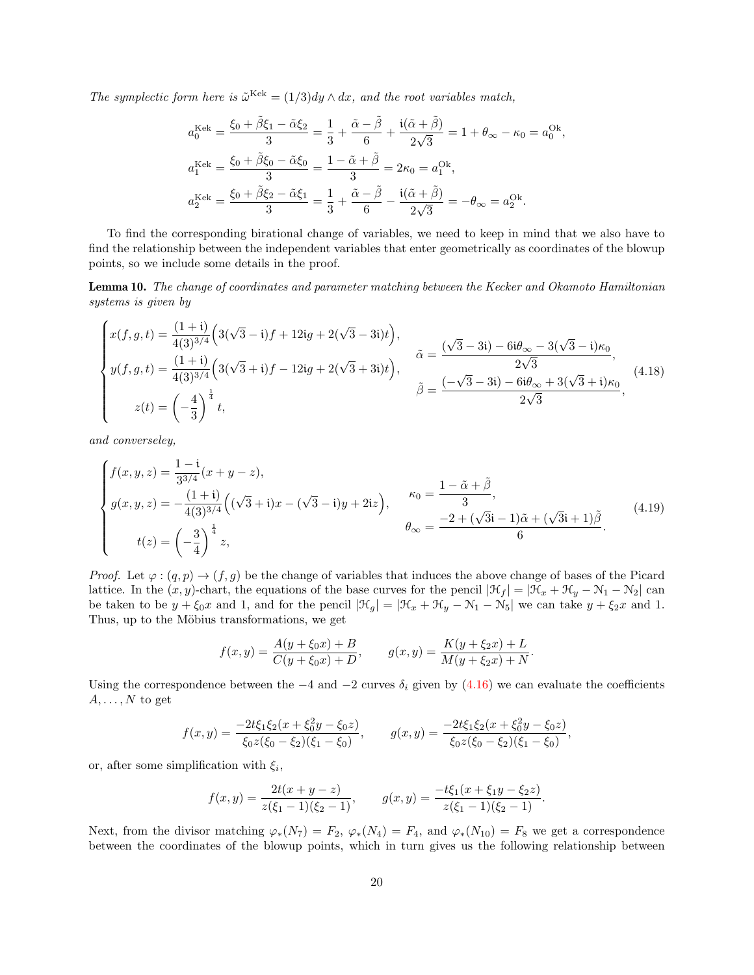The symplectic form here is  $\tilde{\omega}^{\text{Kek}} = (1/3)dy \wedge dx$ , and the root variables match,

$$
a_0^{\text{Kek}} = \frac{\xi_0 + \tilde{\beta}\xi_1 - \tilde{\alpha}\xi_2}{3} = \frac{1}{3} + \frac{\tilde{\alpha} - \tilde{\beta}}{6} + \frac{i(\tilde{\alpha} + \tilde{\beta})}{2\sqrt{3}} = 1 + \theta_{\infty} - \kappa_0 = a_0^{\text{Ok}} a_1^{\text{Kek}} = \frac{\xi_0 + \tilde{\beta}\xi_0 - \tilde{\alpha}\xi_0}{3} = \frac{1 - \tilde{\alpha} + \tilde{\beta}}{3} = 2\kappa_0 = a_1^{\text{Ok}}, a_2^{\text{Kek}} = \frac{\xi_0 + \tilde{\beta}\xi_2 - \tilde{\alpha}\xi_1}{3} = \frac{1}{3} + \frac{\tilde{\alpha} - \tilde{\beta}}{6} - \frac{i(\tilde{\alpha} + \tilde{\beta})}{2\sqrt{3}} = -\theta_{\infty} = a_2^{\text{Ok}}.
$$

<span id="page-19-2"></span><span id="page-19-1"></span>,

To find the corresponding birational change of variables, we need to keep in mind that we also have to find the relationship between the independent variables that enter geometrically as coordinates of the blowup points, so we include some details in the proof.

<span id="page-19-0"></span>Lemma 10. The change of coordinates and parameter matching between the Kecker and Okamoto Hamiltonian systems is given by

$$
\begin{cases}\nx(f,g,t) = \frac{(1+i)}{4(3)^{3/4}} \left(3(\sqrt{3}-i)f + 12ig + 2(\sqrt{3}-3i)t\right), \\
y(f,g,t) = \frac{(1+i)}{4(3)^{3/4}} \left(3(\sqrt{3}+i)f - 12ig + 2(\sqrt{3}+3i)t\right), \\
z(t) = \left(-\frac{4}{3}\right)^{\frac{1}{4}} t, \\
\end{cases}\n\tilde{\beta} = \frac{(-\sqrt{3}-3i) - 6i\theta_{\infty} - 3(\sqrt{3}-i)\kappa_{0}}{2\sqrt{3}},
$$
\n(4.18)

and converseley,

$$
\begin{cases}\nf(x,y,z) = \frac{1-i}{3^{3/4}}(x+y-z), \\
g(x,y,z) = -\frac{(1+i)}{4(3)^{3/4}}\left((\sqrt{3}+i)x - (\sqrt{3}-i)y + 2iz\right), & \kappa_0 = \frac{1-\tilde{\alpha}+\tilde{\beta}}{3}, \\
t(z) = \left(-\frac{3}{4}\right)^{\frac{1}{4}}z,\n\end{cases}\n\qquad \theta_{\infty} = \frac{-2 + (\sqrt{3}i-1)\tilde{\alpha} + (\sqrt{3}i+1)\tilde{\beta}}{6}.\n\tag{4.19}
$$

*Proof.* Let  $\varphi : (q, p) \to (f, g)$  be the change of variables that induces the above change of bases of the Picard lattice. In the  $(x, y)$ -chart, the equations of the base curves for the pencil  $|\mathcal{H}_f| = |\mathcal{H}_x + \mathcal{H}_y - \mathcal{N}_1 - \mathcal{N}_2|$  can be taken to be  $y + \xi_0 x$  and 1, and for the pencil  $|\mathcal{H}_g| = |\mathcal{H}_x + \mathcal{H}_y - \mathcal{N}_1 - \mathcal{N}_5|$  we can take  $y + \xi_2 x$  and 1. Thus, up to the Möbius transformations, we get

$$
f(x,y) = \frac{A(y + \xi_0 x) + B}{C(y + \xi_0 x) + D}, \qquad g(x,y) = \frac{K(y + \xi_2 x) + L}{M(y + \xi_2 x) + N}.
$$

Using the correspondence between the  $-4$  and  $-2$  curves  $\delta_i$  given by [\(4.16\)](#page-18-1) we can evaluate the coefficients  $A, \ldots, N$  to get

$$
f(x,y) = \frac{-2t\xi_1\xi_2(x+\xi_0^2y-\xi_0z)}{\xi_0z(\xi_0-\xi_2)(\xi_1-\xi_0)}, \qquad g(x,y) = \frac{-2t\xi_1\xi_2(x+\xi_0^2y-\xi_0z)}{\xi_0z(\xi_0-\xi_2)(\xi_1-\xi_0)},
$$

or, after some simplification with  $\xi_i$ ,

$$
f(x,y) = \frac{2t(x+y-z)}{z(\xi_1-1)(\xi_2-1)}, \qquad g(x,y) = \frac{-t\xi_1(x+\xi_1y-\xi_2z)}{z(\xi_1-1)(\xi_2-1)}.
$$

Next, from the divisor matching  $\varphi_*(N_7) = F_2$ ,  $\varphi_*(N_4) = F_4$ , and  $\varphi_*(N_10) = F_8$  we get a correspondence between the coordinates of the blowup points, which in turn gives us the following relationship between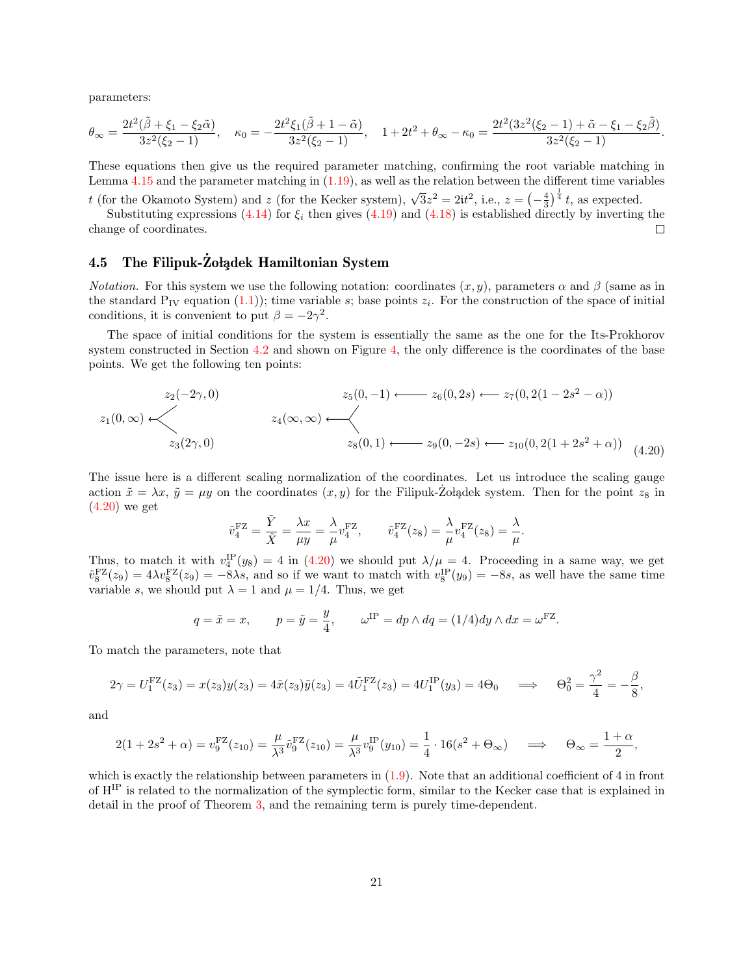parameters:

$$
\theta_{\infty}=\frac{2t^2(\tilde{\beta}+\xi_1-\xi_2\tilde{\alpha})}{3z^2(\xi_2-1)},\quad \kappa_0=-\frac{2t^2\xi_1(\tilde{\beta}+1-\tilde{\alpha})}{3z^2(\xi_2-1)},\quad 1+2t^2+\theta_{\infty}-\kappa_0=\frac{2t^2(3z^2(\xi_2-1)+\tilde{\alpha}-\xi_1-\xi_2\tilde{\beta})}{3z^2(\xi_2-1)}.
$$

These equations then give us the required parameter matching, confirming the root variable matching in Lemma [4.15](#page-18-2) and the parameter matching in [\(1.19\)](#page-3-4), as well as the relation between the different time variables

t (for the Okamoto System) and z (for the Kecker system),  $\sqrt{3}z^2 = 2it^2$ , i.e.,  $z = \left(-\frac{4}{3}\right)^{\frac{1}{4}}t$ , as expected. Substituting expressions [\(4.14\)](#page-17-2) for  $\xi_i$  then gives [\(4.19\)](#page-19-1) and [\(4.18\)](#page-19-2) is established directly by inverting the

change of coordinates.

## <span id="page-20-0"></span>4.5 The Filipuk-Zolądek Hamiltonian System

*Notation.* For this system we use the following notation: coordinates  $(x, y)$ , parameters  $\alpha$  and  $\beta$  (same as in the standard  $P_{IV}$  equation [\(1.1\)](#page-0-0)); time variable s; base points  $z_i$ . For the construction of the space of initial conditions, it is convenient to put  $\beta = -2\gamma^2$ .

The space of initial conditions for the system is essentially the same as the one for the Its-Prokhorov system constructed in Section [4.2](#page-11-0) and shown on Figure [4,](#page-12-0) the only difference is the coordinates of the base points. We get the following ten points:

$$
z_1(0,\infty) \leftarrow z_2(-2\gamma,0)
$$
  
\n
$$
z_1(0,\infty) \leftarrow z_4(\infty,\infty)
$$
  
\n
$$
z_2(2\gamma,0)
$$
  
\n
$$
z_3(2\gamma,0)
$$
  
\n
$$
z_4(\infty,\infty) \leftarrow z_6(0,1) \leftarrow z_9(0,-2s) \leftarrow z_{10}(0,2(1+2s^2+\alpha))
$$
  
\n
$$
z_5(0,1) \leftarrow z_9(0,-2s) \leftarrow z_{10}(0,2(1+2s^2+\alpha))
$$
  
\n(4.20)

<span id="page-20-1"></span>The issue here is a different scaling normalization of the coordinates. Let us introduce the scaling gauge action  $\tilde{x} = \lambda x$ ,  $\tilde{y} = \mu y$  on the coordinates  $(x, y)$  for the Filipuk-Zoladek system. Then for the point  $z_8$  in [\(4.20\)](#page-20-1) we get

$$
\tilde{v}_4^{\rm FZ} = \frac{\tilde{Y}}{\tilde{X}} = \frac{\lambda x}{\mu y} = \frac{\lambda}{\mu} v_4^{\rm FZ}, \qquad \tilde{v}_4^{\rm FZ}(z_8) = \frac{\lambda}{\mu} v_4^{\rm FZ}(z_8) = \frac{\lambda}{\mu}.
$$

Thus, to match it with  $v_4^{\text{IP}}(y_8) = 4$  in [\(4.20\)](#page-20-1) we should put  $\lambda/\mu = 4$ . Proceeding in a same way, we get  $\tilde{v}_8^{\text{FZ}}(z_9) = 4\lambda v_8^{\text{FZ}}(z_9) = -8\lambda s$ , and so if we want to match with  $v_8^{\text{IP}}(y_9) = -8s$ , as well have the same time variable s, we should put  $\lambda = 1$  and  $\mu = 1/4$ . Thus, we get

$$
q = \tilde{x} = x
$$
,  $p = \tilde{y} = \frac{y}{4}$ ,  $\omega^{\text{IP}} = dp \wedge dq = (1/4)dy \wedge dx = \omega^{\text{FZ}}$ .

To match the parameters, note that

$$
2\gamma = U_1^{\text{FZ}}(z_3) = x(z_3)y(z_3) = 4\tilde{x}(z_3)\tilde{y}(z_3) = 4\tilde{U}_1^{\text{FZ}}(z_3) = 4U_1^{\text{IP}}(y_3) = 4\Theta_0 \implies \Theta_0^2 = \frac{\gamma^2}{4} = -\frac{\beta}{8}
$$

,

 $\Box$ 

and

$$
2(1+2s^2+\alpha) = v_9^{\text{FZ}}(z_{10}) = \frac{\mu}{\lambda^3} \tilde{v}_9^{\text{FZ}}(z_{10}) = \frac{\mu}{\lambda^3} v_9^{\text{IP}}(y_{10}) = \frac{1}{4} \cdot 16(s^2 + \Theta_{\infty}) \quad \implies \quad \Theta_{\infty} = \frac{1+\alpha}{2},
$$

which is exactly the relationship between parameters in  $(1.9)$ . Note that an additional coefficient of 4 in front of HIP is related to the normalization of the symplectic form, similar to the Kecker case that is explained in detail in the proof of Theorem [3,](#page-6-0) and the remaining term is purely time-dependent.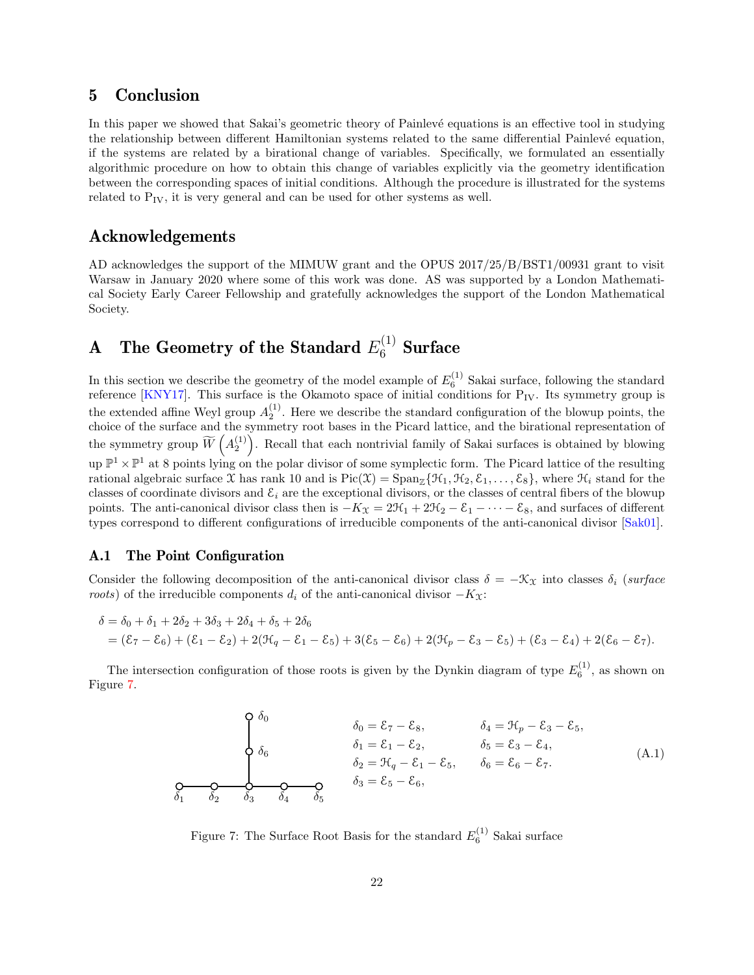# 5 Conclusion

In this paper we showed that Sakai's geometric theory of Painlevé equations is an effective tool in studying the relationship between different Hamiltonian systems related to the same differential Painlevé equation, if the systems are related by a birational change of variables. Specifically, we formulated an essentially algorithmic procedure on how to obtain this change of variables explicitly via the geometry identification between the corresponding spaces of initial conditions. Although the procedure is illustrated for the systems related to  $P_{IV}$ , it is very general and can be used for other systems as well.

## Acknowledgements

AD acknowledges the support of the MIMUW grant and the OPUS 2017/25/B/BST1/00931 grant to visit Warsaw in January 2020 where some of this work was done. AS was supported by a London Mathematical Society Early Career Fellowship and gratefully acknowledges the support of the London Mathematical Society.

# <span id="page-21-0"></span>A The Geometry of the Standard  $E_6^{(1)}$  Surface

In this section we describe the geometry of the model example of  $E_6^{(1)}$  Sakai surface, following the standard reference [\[KNY17\]](#page-24-5). This surface is the Okamoto space of initial conditions for  $P_{IV}$ . Its symmetry group is the extended affine Weyl group  $A_2^{(1)}$ . Here we describe the standard configuration of the blowup points, the choice of the surface and the symmetry root bases in the Picard lattice, and the birational representation of the symmetry group  $\widetilde{W}\left(A_2^{(1)}\right)$ . Recall that each nontrivial family of Sakai surfaces is obtained by blowing up  $\mathbb{P}^1 \times \mathbb{P}^1$  at 8 points lying on the polar divisor of some symplectic form. The Picard lattice of the resulting rational algebraic surface X has rank 10 and is  $Pic(\mathfrak{X}) = Span_{\mathbb{Z}}\{\mathfrak{H}_{1}, \mathfrak{H}_{2}, \mathfrak{E}_{1}, \ldots, \mathfrak{E}_{8}\}\,$ , where  $\mathfrak{H}_{i}$  stand for the classes of coordinate divisors and  $\mathcal{E}_i$  are the exceptional divisors, or the classes of central fibers of the blowup points. The anti-canonical divisor class then is  $-K_{\mathfrak{X}} = 2\mathfrak{H}_1 + 2\mathfrak{H}_2 - \mathfrak{E}_1 - \cdots - \mathfrak{E}_8$ , and surfaces of different types correspond to different configurations of irreducible components of the anti-canonical divisor [\[Sak01\]](#page-25-2).

## A.1 The Point Configuration

Consider the following decomposition of the anti-canonical divisor class  $\delta = -\mathcal{K}_{\mathcal{X}}$  into classes  $\delta_i$  (surface roots) of the irreducible components  $d_i$  of the anti-canonical divisor  $-K_{\mathfrak{X}}$ :

$$
\delta = \delta_0 + \delta_1 + 2\delta_2 + 3\delta_3 + 2\delta_4 + \delta_5 + 2\delta_6
$$
  
=  $(\mathcal{E}_7 - \mathcal{E}_6) + (\mathcal{E}_1 - \mathcal{E}_2) + 2(\mathcal{H}_q - \mathcal{E}_1 - \mathcal{E}_5) + 3(\mathcal{E}_5 - \mathcal{E}_6) + 2(\mathcal{H}_p - \mathcal{E}_3 - \mathcal{E}_5) + (\mathcal{E}_3 - \mathcal{E}_4) + 2(\mathcal{E}_6 - \mathcal{E}_7).$ 

The intersection configuration of those roots is given by the Dynkin diagram of type  $E_6^{(1)}$ , as shown on Figure [7.](#page-21-1)

$$
\begin{cases}\n\delta_0 & \delta_0 = \mathcal{E}_7 - \mathcal{E}_8, & \delta_4 = \mathcal{H}_p - \mathcal{E}_3 - \mathcal{E}_5, \\
\delta_6 & \delta_1 = \mathcal{E}_1 - \mathcal{E}_2, & \delta_5 = \mathcal{E}_3 - \mathcal{E}_4, \\
\delta_2 = \mathcal{H}_q - \mathcal{E}_1 - \mathcal{E}_5, & \delta_6 = \mathcal{E}_6 - \mathcal{E}_7.\n\end{cases} (A.1)
$$

<span id="page-21-1"></span>Figure 7: The Surface Root Basis for the standard  $E_6^{(1)}$  Sakai surface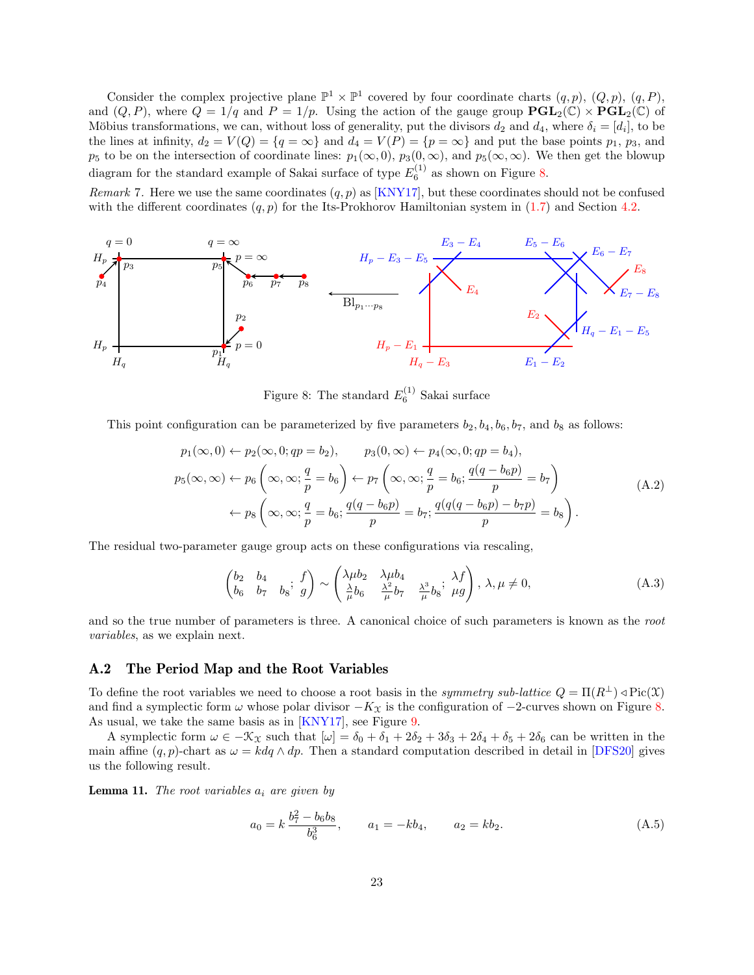Consider the complex projective plane  $\mathbb{P}^1 \times \mathbb{P}^1$  covered by four coordinate charts  $(q, p)$ ,  $(Q, p)$ ,  $(q, P)$ , and  $(Q, P)$ , where  $Q = 1/q$  and  $P = 1/p$ . Using the action of the gauge group  $PGL_2(\mathbb{C}) \times PGL_2(\mathbb{C})$  of Möbius transformations, we can, without loss of generality, put the divisors  $d_2$  and  $d_4$ , where  $\delta_i = [d_i]$ , to be the lines at infinity,  $d_2 = V(Q) = \{q = \infty\}$  and  $d_4 = V(P) = \{p = \infty\}$  and put the base points  $p_1$ ,  $p_3$ , and  $p_5$  to be on the intersection of coordinate lines:  $p_1(\infty, 0)$ ,  $p_3(0, \infty)$ , and  $p_5(\infty, \infty)$ . We then get the blowup diagram for the standard example of Sakai surface of type  $E_6^{(1)}$  as shown on Figure [8.](#page-22-0)

Remark 7. Here we use the same coordinates  $(q, p)$  as [\[KNY17\]](#page-24-5), but these coordinates should not be confused with the different coordinates  $(q, p)$  for the Its-Prokhorov Hamiltonian system in  $(1.7)$  and Section [4.2.](#page-11-0)



<span id="page-22-0"></span>Figure 8: The standard  $E_6^{(1)}$  Sakai surface

This point configuration can be parameterized by five parameters  $b_2, b_4, b_6, b_7$ , and  $b_8$  as follows:

$$
p_1(\infty, 0) \leftarrow p_2(\infty, 0; qp = b_2), \qquad p_3(0, \infty) \leftarrow p_4(\infty, 0; qp = b_4),
$$
  
\n
$$
p_5(\infty, \infty) \leftarrow p_6\left(\infty, \infty; \frac{q}{p} = b_6\right) \leftarrow p_7\left(\infty, \infty; \frac{q}{p} = b_6; \frac{q(q - b_6p)}{p} = b_7\right)
$$
  
\n
$$
\leftarrow p_8\left(\infty, \infty; \frac{q}{p} = b_6; \frac{q(q - b_6p)}{p} = b_7; \frac{q(q(q - b_6p) - b_7p)}{p} = b_8\right).
$$
\n(A.2)

The residual two-parameter gauge group acts on these configurations via rescaling,

<span id="page-22-3"></span>
$$
\begin{pmatrix} b_2 & b_4 \ b_6 & b_7 & b_8 \end{pmatrix} \sim \begin{pmatrix} \lambda \mu b_2 & \lambda \mu b_4 \ \frac{\lambda}{\mu} b_6 & \frac{\lambda^2}{\mu} b_7 & \frac{\lambda^3}{\mu} b_8 \end{pmatrix}, \lambda, \mu \neq 0,
$$
\n(A.3)

and so the true number of parameters is three. A canonical choice of such parameters is known as the root variables, as we explain next.

### <span id="page-22-1"></span>A.2 The Period Map and the Root Variables

To define the root variables we need to choose a root basis in the *symmetry sub-lattice*  $Q = \Pi(R^{\perp}) \triangleleft Pic(\mathfrak{X})$ and find a symplectic form  $\omega$  whose polar divisor  $-K_{\mathfrak{X}}$  is the configuration of  $-2$ -curves shown on Figure [8.](#page-22-0) As usual, we take the same basis as in [\[KNY17\]](#page-24-5), see Figure [9.](#page-23-1)

A symplectic form  $\omega \in -\mathcal{K}_{\mathcal{X}}$  such that  $[\omega] = \delta_0 + \delta_1 + 2\delta_2 + 3\delta_3 + 2\delta_4 + \delta_5 + 2\delta_6$  can be written in the main affine  $(q, p)$ -chart as  $\omega = k dq \wedge dp$ . Then a standard computation described in detail in [\[DFS20\]](#page-24-2) gives us the following result.

<span id="page-22-2"></span>**Lemma 11.** The root variables  $a_i$  are given by

$$
a_0 = k \frac{b_7^2 - b_6 b_8}{b_6^3}, \qquad a_1 = -kb_4, \qquad a_2 = kb_2.
$$
 (A.5)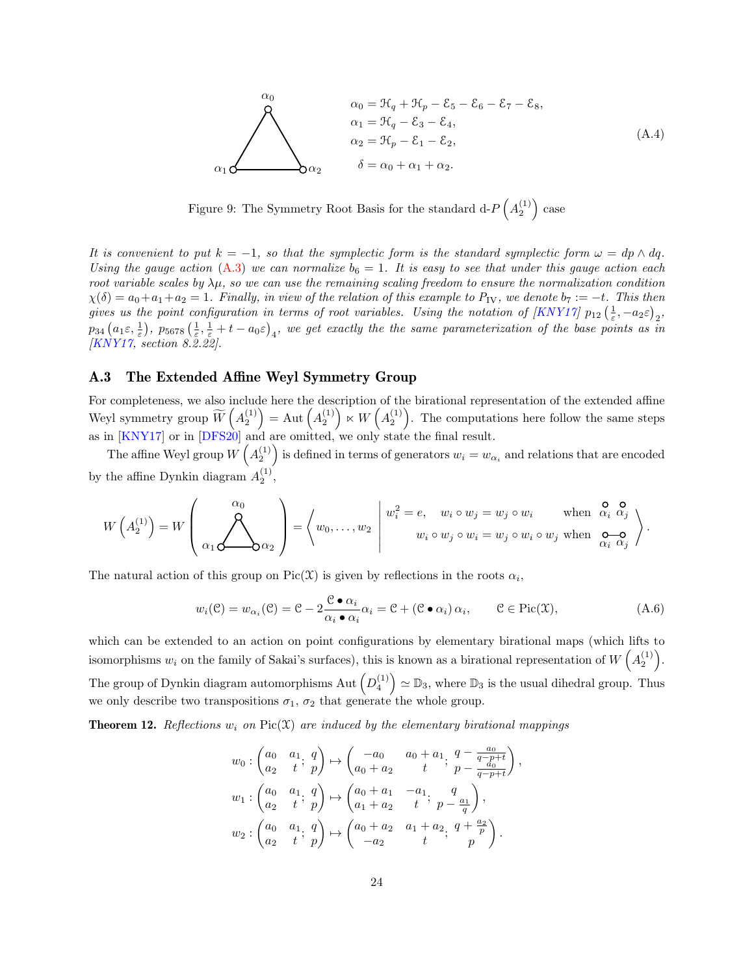$$
\alpha_0 = \mathfrak{K}_q + \mathfrak{K}_p - \mathfrak{E}_5 - \mathfrak{E}_6 - \mathfrak{E}_7 - \mathfrak{E}_8,
$$
\n
$$
\alpha_1 = \mathfrak{K}_q - \mathfrak{E}_3 - \mathfrak{E}_4,
$$
\n
$$
\alpha_2 = \mathfrak{K}_p - \mathfrak{E}_1 - \mathfrak{E}_2,
$$
\n
$$
\alpha_1 \Delta \alpha_2 \qquad \delta = \alpha_0 + \alpha_1 + \alpha_2.
$$
\n(A.4)

<span id="page-23-1"></span>Figure 9: The Symmetry Root Basis for the standard  $d-P(A_2^{(1)})$  case

It is convenient to put  $k = -1$ , so that the symplectic form is the standard symplectic form  $\omega = dp \wedge dq$ . Using the gauge action [\(A.3\)](#page-22-3) we can normalize  $b_6 = 1$ . It is easy to see that under this gauge action each root variable scales by  $\lambda \mu$ , so we can use the remaining scaling freedom to ensure the normalization condition  $\chi(\delta) = a_0 + a_1 + a_2 = 1$ . Finally, in view of the relation of this example to  $P_{\rm IV}$ , we denote  $b_7 := -t$ . This then gives us the point configuration in terms of root variables. Using the notation of  $[KNY17]$   $p_{12}$   $(\frac{1}{\varepsilon}, -a_2\varepsilon)_2$ ,  $p_{34}\left(a_1\varepsilon,\frac{1}{\varepsilon}\right),\ p_{5678}\left(\frac{1}{\varepsilon},\frac{1}{\varepsilon}+t-a_0\varepsilon\right)_4,\ w e\, \textit{get} \; exactly \; the \; \textit{time} \; parameterization \; \textit{of the base points} \; \textit{as} \; \bar{i} n$ [\[KNY17,](#page-24-5) section 8.2.22].

#### A.3 The Extended Affine Weyl Symmetry Group

For completeness, we also include here the description of the birational representation of the extended affine Weyl symmetry group  $\widetilde{W}\left(A_2^{(1)}\right) = \mathrm{Aut}\left(A_2^{(1)}\right) \ltimes W\left(A_2^{(1)}\right)$ . The computations here follow the same steps as in [\[KNY17\]](#page-24-5) or in [\[DFS20\]](#page-24-2) and are omitted, we only state the final result.

The affine Weyl group  $W(A_2^{(1)})$  is defined in terms of generators  $w_i = w_{\alpha_i}$  and relations that are encoded by the affine Dynkin diagram  $A_2^{(1)}$ ,

$$
W\left(A_2^{(1)}\right) = W\left(\bigotimes_{\alpha_1} \bigotimes_{\alpha_2} \bigotimes_{\alpha_2}\right) = \left\langle w_0, \dots, w_2 \middle| \begin{array}{c} w_i^2 = e, & w_i \circ w_j = w_j \circ w_i \quad \text{when} \quad \mathcal{Q}_i \text{ or } \mathcal{Q}_i \\ w_i \circ w_j \circ w_i = w_j \circ w_i \circ w_j \text{ when } \mathcal{Q}_i \text{ or } \mathcal{Q}_i \end{array} \right\rangle.
$$

The natural action of this group on Pic(X) is given by reflections in the roots  $\alpha_i$ ,

$$
w_i(\mathcal{C}) = w_{\alpha_i}(\mathcal{C}) = \mathcal{C} - 2 \frac{\mathcal{C} \bullet \alpha_i}{\alpha_i \bullet \alpha_i} \alpha_i = \mathcal{C} + (\mathcal{C} \bullet \alpha_i) \alpha_i, \qquad \mathcal{C} \in \text{Pic}(\mathfrak{X}), \tag{A.6}
$$

which can be extended to an action on point configurations by elementary birational maps (which lifts to isomorphisms  $w_i$  on the family of Sakai's surfaces), this is known as a birational representation of  $W(A_2^{(1)})$ . The group of Dynkin diagram automorphisms Aut  $(D_4^{(1)}) \simeq \mathbb{D}_3$ , where  $\mathbb{D}_3$  is the usual dihedral group. Thus we only describe two transpositions  $\sigma_1$ ,  $\sigma_2$  that generate the whole group.

<span id="page-23-0"></span>**Theorem 12.** Reflections  $w_i$  on Pic(X) are induced by the elementary birational mappings

$$
w_0: \begin{pmatrix} a_0 & a_1 & q \\ a_2 & t & p \end{pmatrix} \mapsto \begin{pmatrix} -a_0 & a_0 + a_1 & q - \frac{a_0}{q - p + t} \\ a_0 + a_2 & t & p - \frac{a_0}{q - p + t} \end{pmatrix},
$$
  
\n
$$
w_1: \begin{pmatrix} a_0 & a_1 & q \\ a_2 & t & p \end{pmatrix} \mapsto \begin{pmatrix} a_0 + a_1 & -a_1 & q \\ a_1 + a_2 & t & p - \frac{a_1}{q} \end{pmatrix},
$$
  
\n
$$
w_2: \begin{pmatrix} a_0 & a_1 & q \\ a_2 & t & p \end{pmatrix} \mapsto \begin{pmatrix} a_0 + a_2 & a_1 + a_2 & q + \frac{a_2}{p} \\ -a_2 & t & p \end{pmatrix}.
$$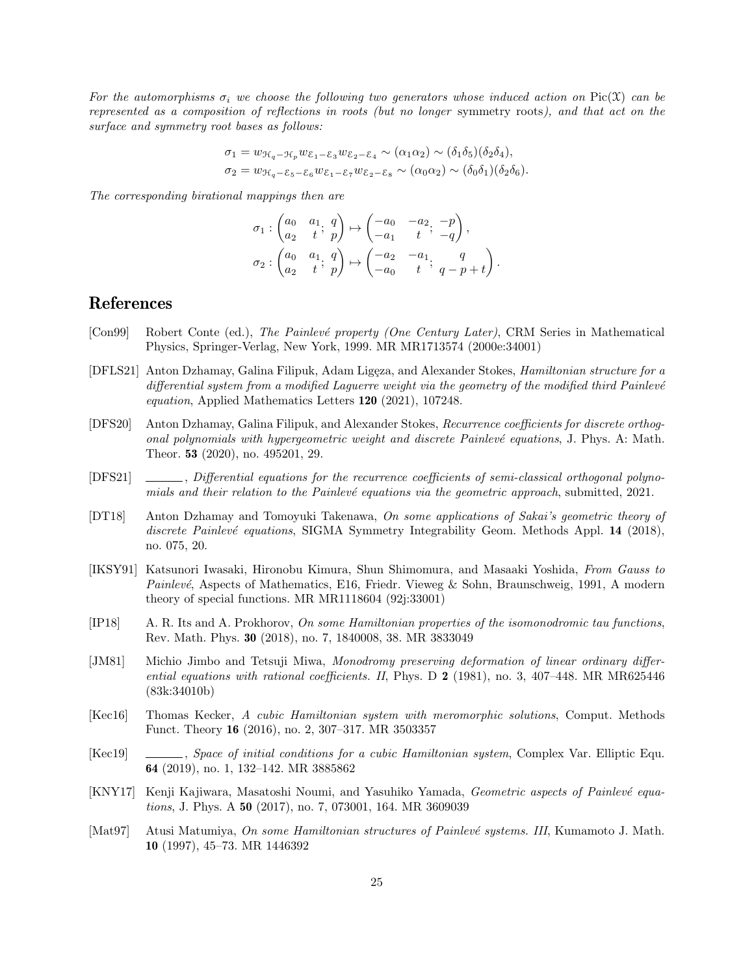For the automorphisms  $\sigma_i$  we choose the following two generators whose induced action on Pic(X) can be represented as a composition of reflections in roots (but no longer symmetry roots), and that act on the surface and symmetry root bases as follows:

$$
\sigma_1 = w_{\mathcal{H}_q - \mathcal{H}_p} w_{\mathcal{E}_1 - \mathcal{E}_3} w_{\mathcal{E}_2 - \mathcal{E}_4} \sim (\alpha_1 \alpha_2) \sim (\delta_1 \delta_5) (\delta_2 \delta_4),
$$
  

$$
\sigma_2 = w_{\mathcal{H}_q - \mathcal{E}_5 - \mathcal{E}_6} w_{\mathcal{E}_1 - \mathcal{E}_7} w_{\mathcal{E}_2 - \mathcal{E}_8} \sim (\alpha_0 \alpha_2) \sim (\delta_0 \delta_1) (\delta_2 \delta_6).
$$

The corresponding birational mappings then are

$$
\sigma_1: \begin{pmatrix} a_0 & a_1 & q \\ a_2 & t & p \end{pmatrix} \mapsto \begin{pmatrix} -a_0 & -a_2 & -p \\ -a_1 & t & -q \end{pmatrix},
$$

$$
\sigma_2: \begin{pmatrix} a_0 & a_1 & q \\ a_2 & t & p \end{pmatrix} \mapsto \begin{pmatrix} -a_2 & -a_1 & q \\ -a_0 & t & q - p + t \end{pmatrix}.
$$

# References

- <span id="page-24-1"></span>[Con99] Robert Conte (ed.), The Painlevé property (One Century Later), CRM Series in Mathematical Physics, Springer-Verlag, New York, 1999. MR MR1713574 (2000e:34001)
- <span id="page-24-11"></span>[DFLS21] Anton Dzhamay, Galina Filipuk, Adam Ligęza, and Alexander Stokes, Hamiltonian structure for a differential system from a modified Laguerre weight via the geometry of the modified third Painlevé equation, Applied Mathematics Letters 120 (2021), 107248.
- <span id="page-24-2"></span>[DFS20] Anton Dzhamay, Galina Filipuk, and Alexander Stokes, Recurrence coefficients for discrete orthogonal polynomials with hypergeometric weight and discrete Painlevé equations, J. Phys. A: Math. Theor. 53 (2020), no. 495201, 29.
- <span id="page-24-9"></span>[DFS21]  $\_\_\_\_\_$ , Differential equations for the recurrence coefficients of semi-classical orthogonal polynomials and their relation to the Painlevé equations via the geometric approach, submitted, 2021.
- <span id="page-24-10"></span>[DT18] Anton Dzhamay and Tomoyuki Takenawa, On some applications of Sakai's geometric theory of discrete Painlevé equations, SIGMA Symmetry Integrability Geom. Methods Appl. 14 (2018), no. 075, 20.
- <span id="page-24-0"></span>[IKSY91] Katsunori Iwasaki, Hironobu Kimura, Shun Shimomura, and Masaaki Yoshida, From Gauss to *Painlevé*, Aspects of Mathematics, E16, Friedr. Vieweg & Sohn, Braunschweig, 1991, A modern theory of special functions. MR MR1118604 (92j:33001)
- <span id="page-24-3"></span>[IP18] A. R. Its and A. Prokhorov, On some Hamiltonian properties of the isomonodromic tau functions, Rev. Math. Phys. 30 (2018), no. 7, 1840008, 38. MR 3833049
- <span id="page-24-4"></span>[JM81] Michio Jimbo and Tetsuji Miwa, Monodromy preserving deformation of linear ordinary differential equations with rational coefficients. II, Phys. D  $2$  (1981), no. 3, 407–448. MR MR625446 (83k:34010b)
- <span id="page-24-6"></span>[Kec16] Thomas Kecker, A cubic Hamiltonian system with meromorphic solutions, Comput. Methods Funct. Theory 16 (2016), no. 2, 307–317. MR 3503357
- <span id="page-24-7"></span>[Kec19] , Space of initial conditions for a cubic Hamiltonian system, Complex Var. Elliptic Equ. 64 (2019), no. 1, 132–142. MR 3885862
- <span id="page-24-5"></span>[KNY17] Kenji Kajiwara, Masatoshi Noumi, and Yasuhiko Yamada, Geometric aspects of Painlevé equations, J. Phys. A 50 (2017), no. 7, 073001, 164. MR 3609039
- <span id="page-24-8"></span>[Mat97] Atusi Matumiya, On some Hamiltonian structures of Painlevé systems. III, Kumamoto J. Math. 10 (1997), 45–73. MR 1446392